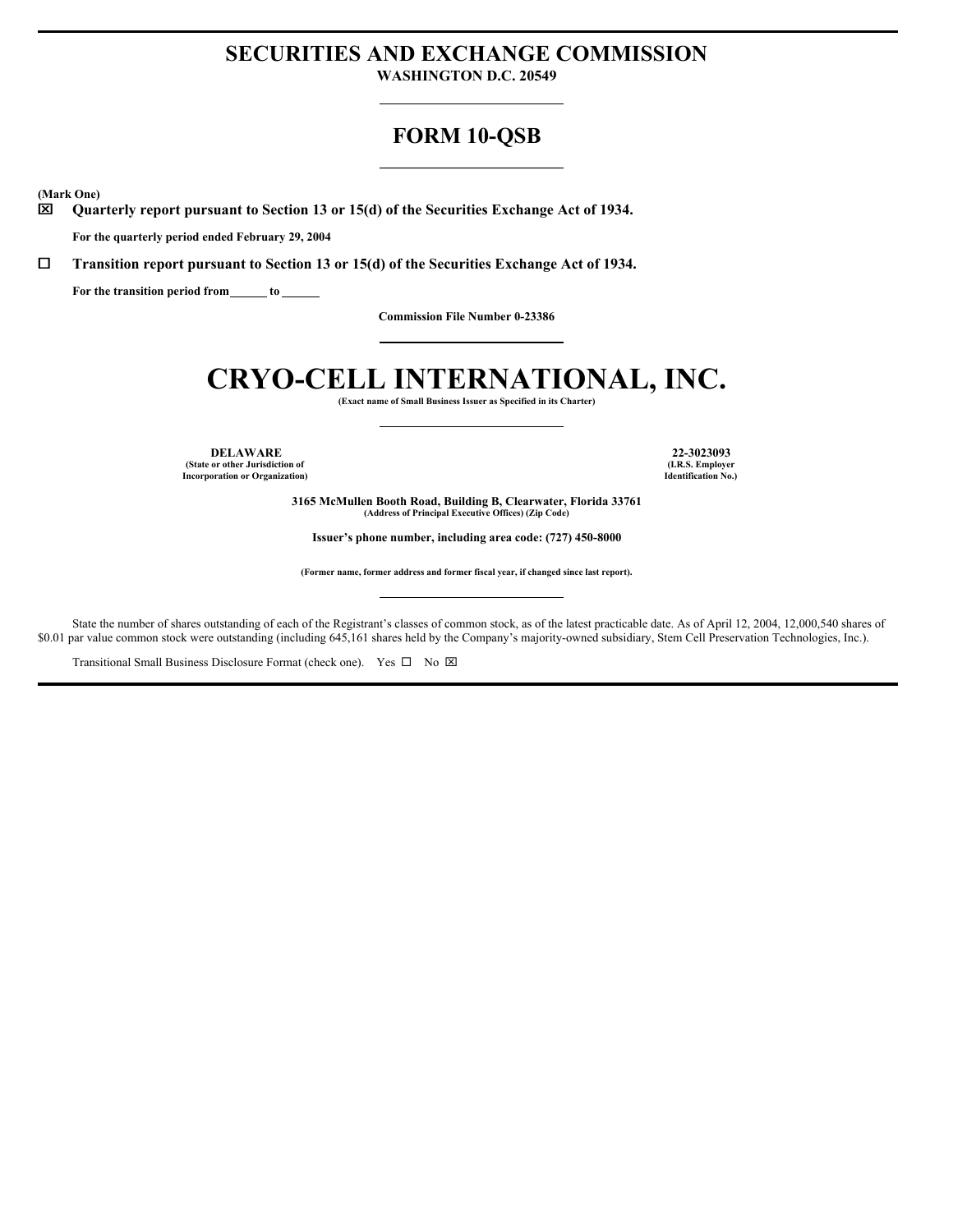## **SECURITIES AND EXCHANGE COMMISSION**

**WASHINGTON D.C. 20549**

## **FORM 10-QSB**

**(Mark One)**

x **Quarterly report pursuant to Section 13 or 15(d) of the Securities Exchange Act of 1934.**

**For the quarterly period ended February 29, 2004**

¨ **Transition report pursuant to Section 13 or 15(d) of the Securities Exchange Act of 1934.**

**For the transition period from to**

**Commission File Number 0-23386**

# **CRYO-CELL INTERNATIONAL, INC.**

**(Exact name of Small Business Issuer as Specified in its Charter)**

**DELAWARE 22-3023093 (State or other Jurisdiction of Incorporation or Organization)**

**(I.R.S. Employer Identification No.)**

**3165 McMullen Booth Road, Building B, Clearwater, Florida 33761 (Address of Principal Executive Offices) (Zip Code)**

**Issuer's phone number, including area code: (727) 450-8000**

**(Former name, former address and former fiscal year, if changed since last report).**

State the number of shares outstanding of each of the Registrant's classes of common stock, as of the latest practicable date. As of April 12, 2004, 12,000,540 shares of \$0.01 par value common stock were outstanding (including 645,161 shares held by the Company's majority-owned subsidiary, Stem Cell Preservation Technologies, Inc.).

Transitional Small Business Disclosure Format (check one). Yes  $\Box$  No  $\boxtimes$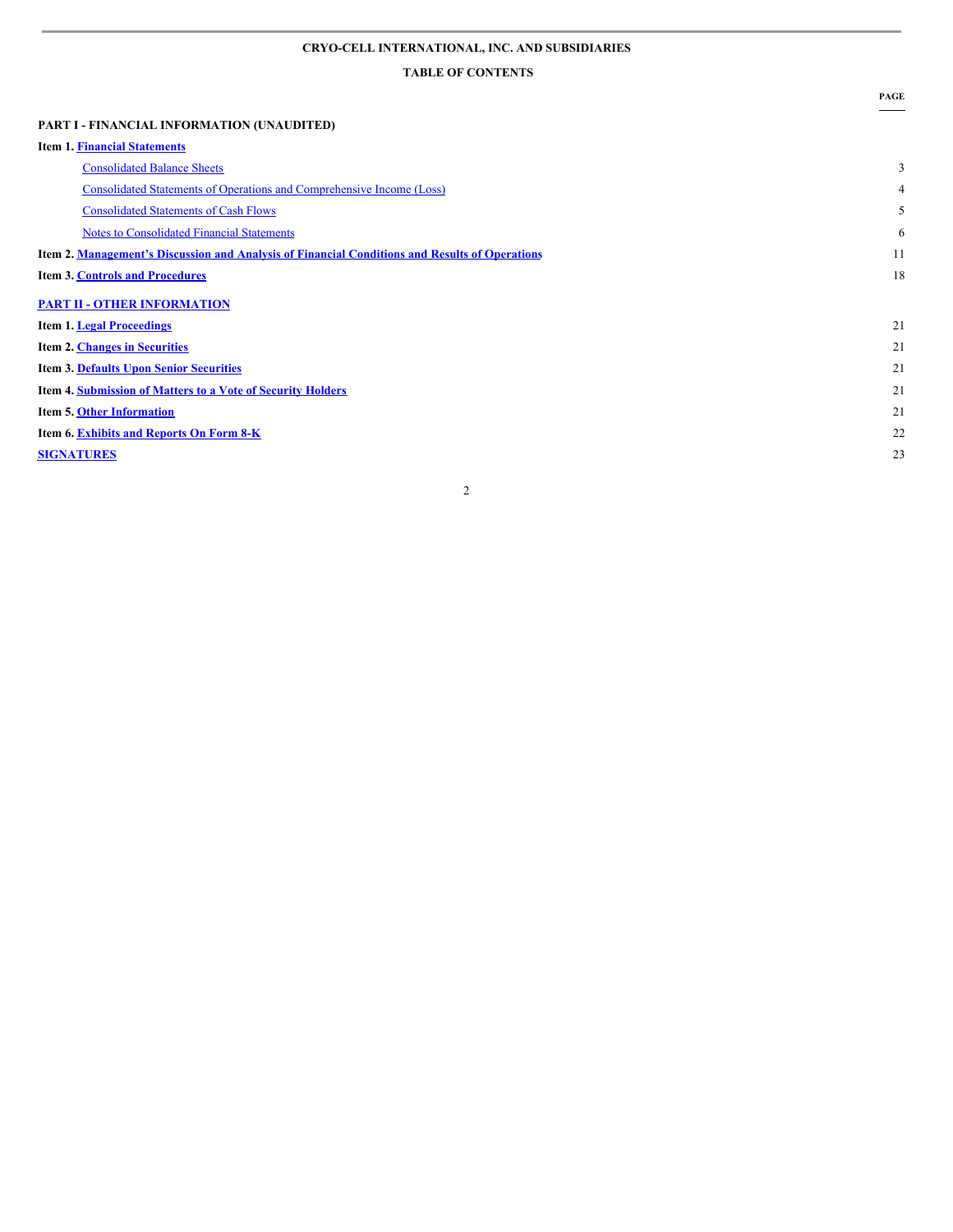#### **TABLE OF CONTENTS**

## **PART I - FINANCIAL INFORMATION (UNAUDITED) Item 1. Financial [Statements](#page-2-0)** [Consolidated](#page-2-1) Balance Sheets 3 Consolidated Statements of Operations and [Comprehensive](#page-3-0) Income (Loss) 4 [Consolidated](#page-4-0) Statements of Cash Flows 5 Notes to [Consolidated](#page-5-0) Financial Statements 6 **Item 2. [Management's](#page-10-0) Discussion and Analysis of Financial Conditions and Results of Operations** 11 **Item 3. Controls and [Procedures](#page-17-0)** 18 **PART II - OTHER [INFORMATION](#page-20-0) Item 1. Legal [Proceedings](#page-20-1)** 21 **Item 2. Changes in [Securities](#page-20-2)** 21 **Item 3. Defaults Upon Senior [Securities](#page-20-3)** 21 **Item 4. [Submission](#page-20-4) of Matters to a Vote of Security Holders** 21 **Item 5. Other [Information](#page-20-5)** 21 **Item 6. [Exhibits](#page-21-0) and Reports On Form 8-K** 22 **[SIGNATURES](#page-22-0)** 23

**PAGE**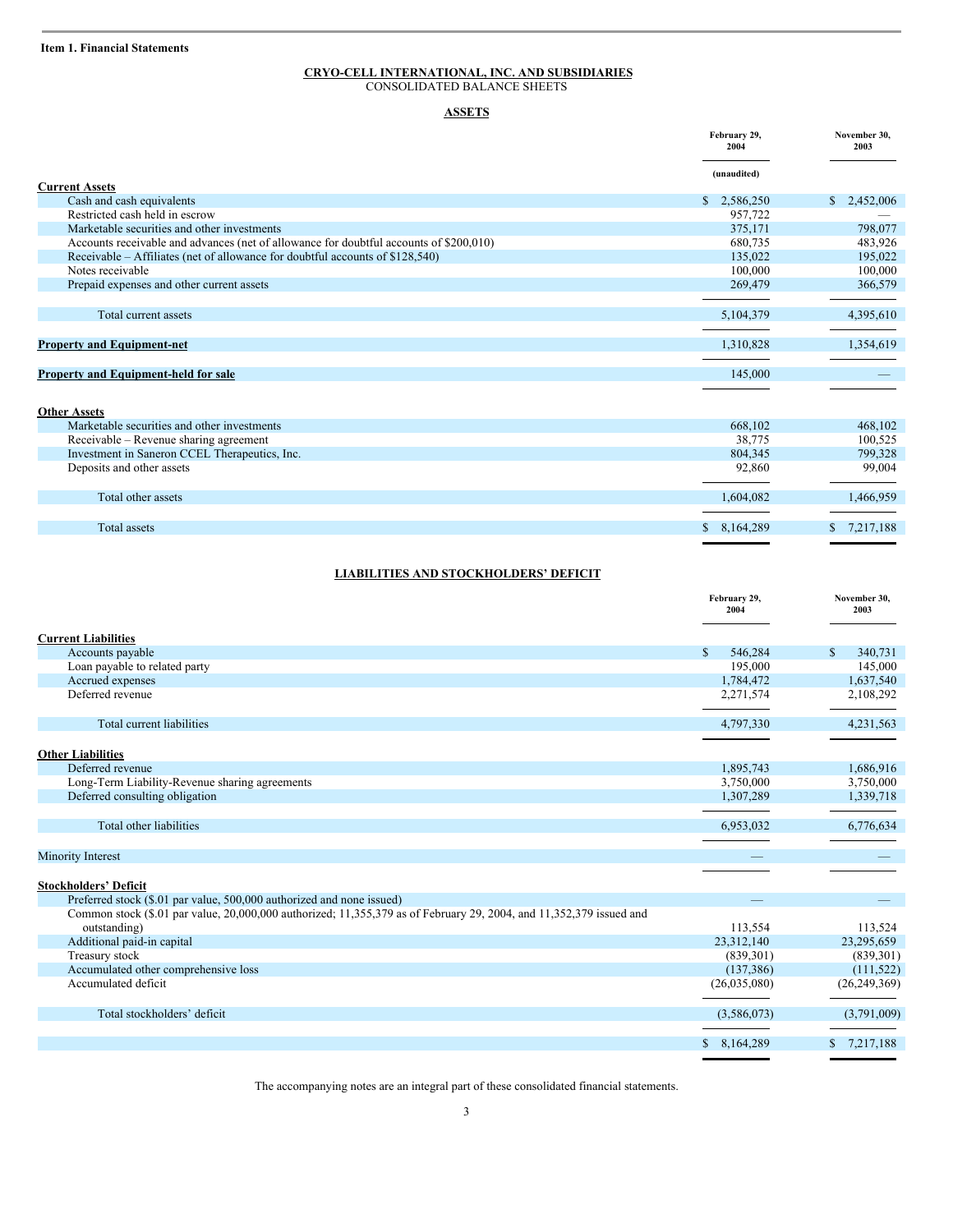<span id="page-2-1"></span>CONSOLIDATED BALANCE SHEETS

## **ASSETS**

<span id="page-2-0"></span>

|                                                                                        | February 29,<br>2004       | November 30.<br>2003      |  |
|----------------------------------------------------------------------------------------|----------------------------|---------------------------|--|
|                                                                                        | (unaudited)                |                           |  |
| <b>Current Assets</b>                                                                  |                            |                           |  |
| Cash and cash equivalents                                                              | \$2,586,250                | \$2,452,006               |  |
| Restricted cash held in escrow                                                         | 957,722                    |                           |  |
| Marketable securities and other investments                                            | 375,171                    | 798,077                   |  |
| Accounts receivable and advances (net of allowance for doubtful accounts of \$200,010) | 680,735                    | 483,926                   |  |
| Receivable – Affiliates (net of allowance for doubtful accounts of \$128,540)          | 135,022                    | 195,022                   |  |
| Notes receivable                                                                       | 100,000                    | 100,000                   |  |
| Prepaid expenses and other current assets                                              | 269,479                    | 366,579                   |  |
|                                                                                        |                            |                           |  |
| Total current assets                                                                   | 5,104,379                  | 4,395,610                 |  |
|                                                                                        |                            |                           |  |
| <b>Property and Equipment-net</b>                                                      | 1,310,828                  | 1,354,619                 |  |
|                                                                                        |                            |                           |  |
| <b>Property and Equipment-held for sale</b>                                            | 145,000                    |                           |  |
|                                                                                        |                            |                           |  |
|                                                                                        |                            |                           |  |
| <b>Other Assets</b>                                                                    |                            |                           |  |
| Marketable securities and other investments                                            | 668.102                    | 468,102                   |  |
| Receivable – Revenue sharing agreement                                                 | 38,775                     | 100,525                   |  |
| Investment in Saneron CCEL Therapeutics, Inc.                                          | 804,345                    | 799,328                   |  |
| Deposits and other assets                                                              | 92,860                     | 99,004                    |  |
|                                                                                        |                            |                           |  |
| Total other assets                                                                     | 1,604,082                  | 1,466,959                 |  |
|                                                                                        |                            |                           |  |
| <b>Total assets</b>                                                                    | 8.164.289<br><sup>\$</sup> | 7,217,188<br>$\mathbb{S}$ |  |

## **LIABILITIES AND STOCKHOLDERS' DEFICIT**

|                                                                                                                     | February 29,<br>2004  | November 30,<br>2003     |
|---------------------------------------------------------------------------------------------------------------------|-----------------------|--------------------------|
| <b>Current Liabilities</b>                                                                                          |                       |                          |
| Accounts payable                                                                                                    | 546,284<br>S          | 340,731<br><sup>\$</sup> |
| Loan payable to related party                                                                                       | 195,000               | 145,000                  |
| Accrued expenses                                                                                                    | 1,784,472             | 1,637,540                |
| Deferred revenue                                                                                                    | 2,271,574             | 2,108,292                |
| Total current liabilities                                                                                           | 4,797,330             | 4,231,563                |
| <b>Other Liabilities</b>                                                                                            |                       |                          |
| Deferred revenue                                                                                                    | 1,895,743             | 1,686,916                |
| Long-Term Liability-Revenue sharing agreements                                                                      | 3,750,000             | 3,750,000                |
| Deferred consulting obligation                                                                                      | 1,307,289             | 1,339,718                |
| Total other liabilities                                                                                             | 6,953,032             | 6,776,634                |
| <b>Minority Interest</b>                                                                                            |                       |                          |
|                                                                                                                     |                       |                          |
| <b>Stockholders' Deficit</b>                                                                                        |                       |                          |
| Preferred stock (\$.01 par value, 500,000 authorized and none issued)                                               |                       |                          |
| Common stock (\$.01 par value, 20,000,000 authorized; 11,355,379 as of February 29, 2004, and 11,352,379 issued and |                       |                          |
| outstanding)<br>Additional paid-in capital                                                                          | 113,554<br>23,312,140 | 113,524<br>23,295,659    |
| Treasury stock                                                                                                      | (839, 301)            | (839, 301)               |
| Accumulated other comprehensive loss                                                                                | (137, 386)            | (111, 522)               |
| Accumulated deficit                                                                                                 | (26,035,080)          | (26, 249, 369)           |
| Total stockholders' deficit                                                                                         | (3,586,073)           | (3,791,009)              |
|                                                                                                                     | \$8,164,289           | \$7,217,188              |
|                                                                                                                     |                       |                          |

The accompanying notes are an integral part of these consolidated financial statements.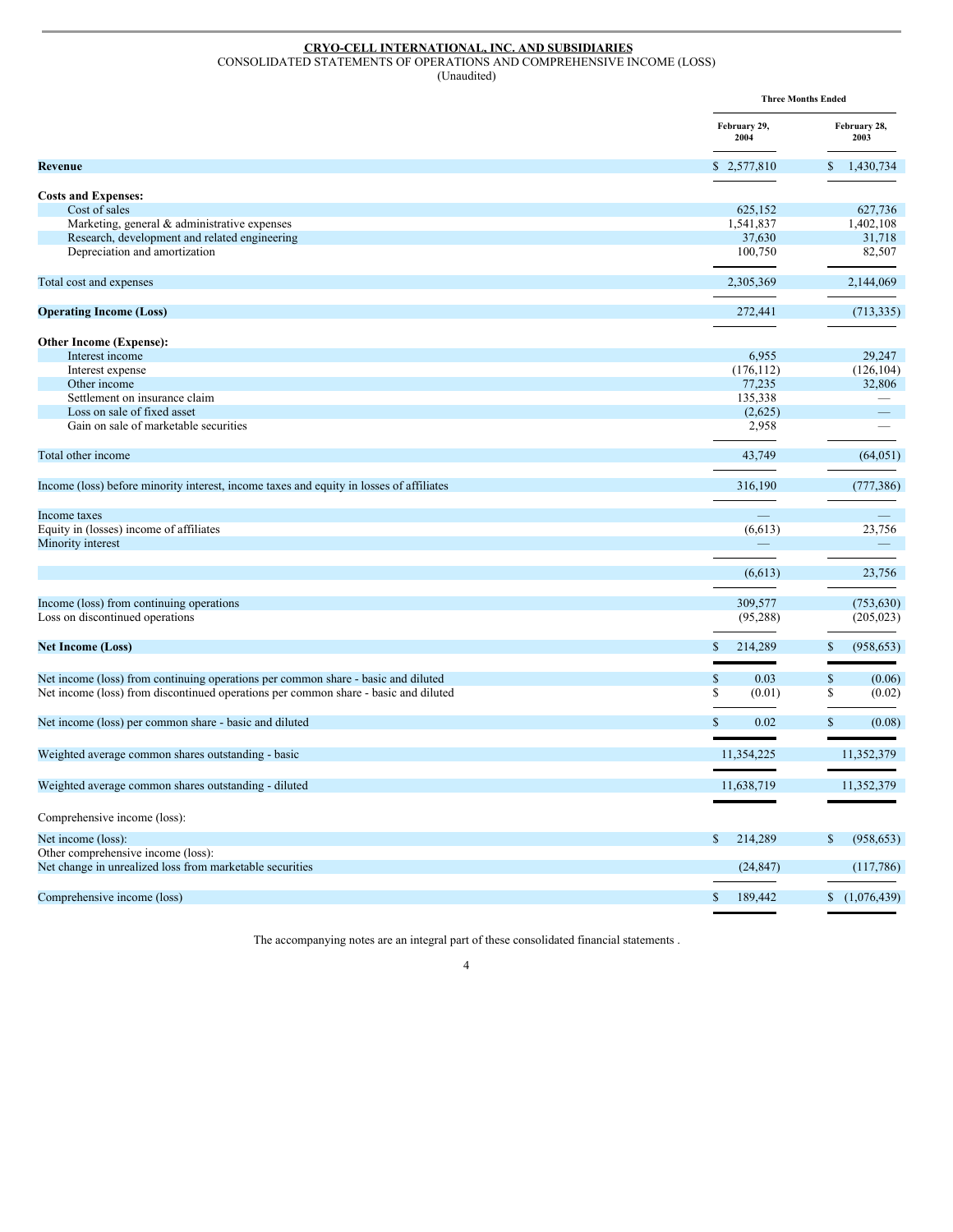<span id="page-3-0"></span>CONSOLIDATED STATEMENTS OF OPERATIONS AND COMPREHENSIVE INCOME (LOSS)

(Unaudited)

|                                                                                         |              | <b>Three Months Ended</b> |              |                                       |
|-----------------------------------------------------------------------------------------|--------------|---------------------------|--------------|---------------------------------------|
|                                                                                         |              | February 29,<br>2004      |              | February 28,<br>2003                  |
| Revenue                                                                                 |              | \$2,577,810               |              | \$1,430,734                           |
|                                                                                         |              |                           |              |                                       |
| <b>Costs and Expenses:</b>                                                              |              |                           |              |                                       |
| Cost of sales<br>Marketing, general & administrative expenses                           |              | 625,152<br>1,541,837      |              | 627,736<br>1,402,108                  |
| Research, development and related engineering                                           |              | 37,630                    |              | 31,718                                |
| Depreciation and amortization                                                           |              | 100,750                   |              | 82,507                                |
|                                                                                         |              |                           |              |                                       |
| Total cost and expenses                                                                 |              | 2,305,369                 |              | 2,144,069                             |
| <b>Operating Income (Loss)</b>                                                          |              | 272,441                   |              | (713, 335)                            |
|                                                                                         |              |                           |              |                                       |
| <b>Other Income (Expense):</b><br>Interest income                                       |              | 6,955                     |              | 29,247                                |
| Interest expense                                                                        |              | (176, 112)                |              | (126, 104)                            |
| Other income                                                                            |              | 77,235                    |              | 32,806                                |
| Settlement on insurance claim                                                           |              | 135,338                   |              |                                       |
| Loss on sale of fixed asset                                                             |              | (2,625)                   |              | —                                     |
| Gain on sale of marketable securities                                                   |              | 2,958                     |              |                                       |
| Total other income                                                                      |              | 43,749                    |              | (64, 051)                             |
|                                                                                         |              |                           |              |                                       |
| Income (loss) before minority interest, income taxes and equity in losses of affiliates |              | 316,190                   |              | (777, 386)                            |
| Income taxes                                                                            |              |                           |              |                                       |
| Equity in (losses) income of affiliates                                                 |              | (6,613)                   |              | 23,756                                |
| Minority interest                                                                       |              |                           |              | $\hspace{1.0cm} \rule{1.5cm}{0.15cm}$ |
|                                                                                         |              | (6,613)                   |              | 23,756                                |
|                                                                                         |              |                           |              |                                       |
| Income (loss) from continuing operations<br>Loss on discontinued operations             |              | 309,577<br>(95, 288)      |              | (753, 630)<br>(205, 023)              |
|                                                                                         |              |                           |              |                                       |
| <b>Net Income (Loss)</b>                                                                | \$           | 214,289                   | \$           | (958, 653)                            |
| Net income (loss) from continuing operations per common share - basic and diluted       | \$           | 0.03                      | $\$$         | (0.06)                                |
| Net income (loss) from discontinued operations per common share - basic and diluted     | \$           | (0.01)                    | \$           | (0.02)                                |
| Net income (loss) per common share - basic and diluted                                  | $\mathbb{S}$ | 0.02                      | $\mathbb{S}$ | (0.08)                                |
|                                                                                         |              |                           |              |                                       |
| Weighted average common shares outstanding - basic                                      |              | 11,354,225                |              | 11,352,379                            |
| Weighted average common shares outstanding - diluted                                    |              | 11,638,719                |              | 11,352,379                            |
| Comprehensive income (loss):                                                            |              |                           |              |                                       |
| Net income (loss):                                                                      | \$           | 214,289                   | $\mathbb{S}$ | (958, 653)                            |
| Other comprehensive income (loss):                                                      |              |                           |              |                                       |
| Net change in unrealized loss from marketable securities                                |              | (24, 847)                 |              | (117,786)                             |
| Comprehensive income (loss)                                                             | \$           | 189,442                   |              | (1,076,439)                           |

The accompanying notes are an integral part of these consolidated financial statements .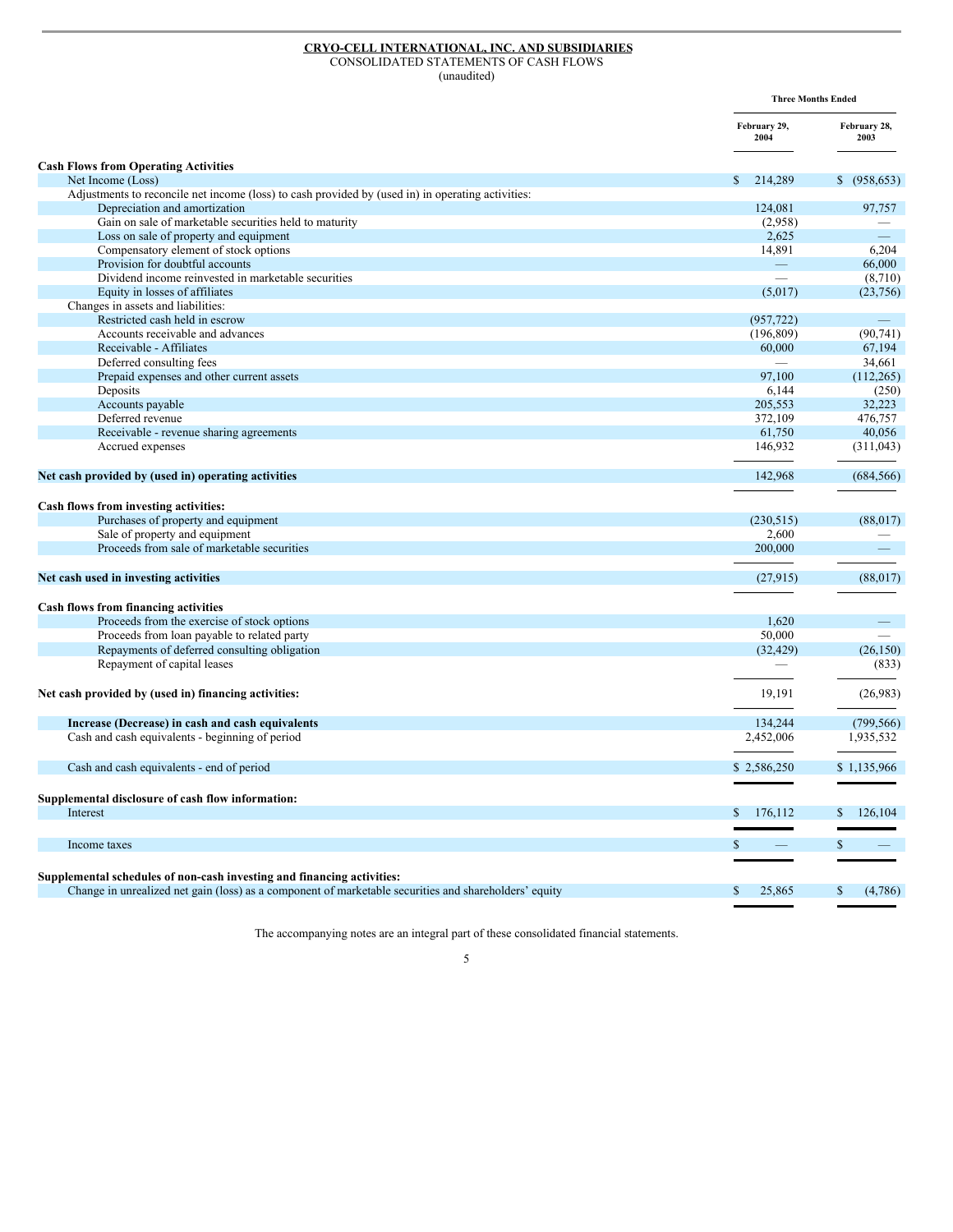<span id="page-4-0"></span>CONSOLIDATED STATEMENTS OF CASH FLOWS

|                                                                                                       | <b>Three Months Ended</b> |                      |
|-------------------------------------------------------------------------------------------------------|---------------------------|----------------------|
|                                                                                                       | February 29,<br>2004      | February 28,<br>2003 |
| <b>Cash Flows from Operating Activities</b>                                                           |                           |                      |
| Net Income (Loss)                                                                                     | \$<br>214,289             | $$^{(958,653)}$$     |
| Adjustments to reconcile net income (loss) to cash provided by (used in) in operating activities:     |                           |                      |
| Depreciation and amortization                                                                         | 124,081                   | 97,757               |
| Gain on sale of marketable securities held to maturity                                                | (2,958)                   |                      |
| Loss on sale of property and equipment                                                                | 2,625                     | $=$                  |
| Compensatory element of stock options                                                                 | 14,891                    | 6,204                |
| Provision for doubtful accounts                                                                       | $\qquad \qquad -$         | 66,000               |
| Dividend income reinvested in marketable securities                                                   |                           | (8,710)              |
| Equity in losses of affiliates                                                                        | (5,017)                   | (23,756)             |
| Changes in assets and liabilities:                                                                    |                           |                      |
| Restricted cash held in escrow                                                                        | (957, 722)                |                      |
| Accounts receivable and advances                                                                      | (196, 809)                | (90, 741)            |
| Receivable - Affiliates                                                                               | 60,000                    | 67,194               |
| Deferred consulting fees                                                                              |                           | 34,661               |
| Prepaid expenses and other current assets                                                             | 97,100                    | (112,265)            |
| Deposits                                                                                              | 6,144                     | (250)                |
| Accounts payable                                                                                      | 205.553                   | 32,223               |
| Deferred revenue                                                                                      | 372,109                   | 476,757              |
| Receivable - revenue sharing agreements                                                               | 61,750                    | 40,056               |
|                                                                                                       | 146,932                   | (311,043)            |
| Accrued expenses                                                                                      |                           |                      |
| Net cash provided by (used in) operating activities                                                   | 142,968                   | (684, 566)           |
|                                                                                                       |                           |                      |
| Cash flows from investing activities:                                                                 |                           |                      |
| Purchases of property and equipment                                                                   | (230,515)                 | (88, 017)            |
| Sale of property and equipment                                                                        | 2,600                     |                      |
| Proceeds from sale of marketable securities                                                           | 200,000                   |                      |
| Net cash used in investing activities                                                                 | (27, 915)                 | (88, 017)            |
| Cash flows from financing activities                                                                  |                           |                      |
| Proceeds from the exercise of stock options                                                           | 1,620                     |                      |
| Proceeds from loan payable to related party                                                           | 50,000                    |                      |
| Repayments of deferred consulting obligation                                                          | (32, 429)                 | (26, 150)            |
| Repayment of capital leases                                                                           |                           | (833)                |
|                                                                                                       |                           |                      |
| Net cash provided by (used in) financing activities:                                                  | 19,191                    | (26,983)             |
|                                                                                                       |                           |                      |
| Increase (Decrease) in cash and cash equivalents                                                      | 134,244                   | (799, 566)           |
| Cash and cash equivalents - beginning of period                                                       | 2,452,006                 | 1,935,532            |
| Cash and cash equivalents - end of period                                                             | \$2,586,250               | \$1,135,966          |
|                                                                                                       |                           |                      |
| Supplemental disclosure of cash flow information:                                                     |                           |                      |
| Interest                                                                                              | 176,112<br>S.             | 126,104<br>S.        |
| Income taxes                                                                                          | S.                        | \$                   |
|                                                                                                       |                           |                      |
| Supplemental schedules of non-cash investing and financing activities:                                |                           |                      |
| Change in unrealized net gain (loss) as a component of marketable securities and shareholders' equity | 25,865<br>\$.             | \$<br>(4,786)        |
|                                                                                                       |                           |                      |

The accompanying notes are an integral part of these consolidated financial statements.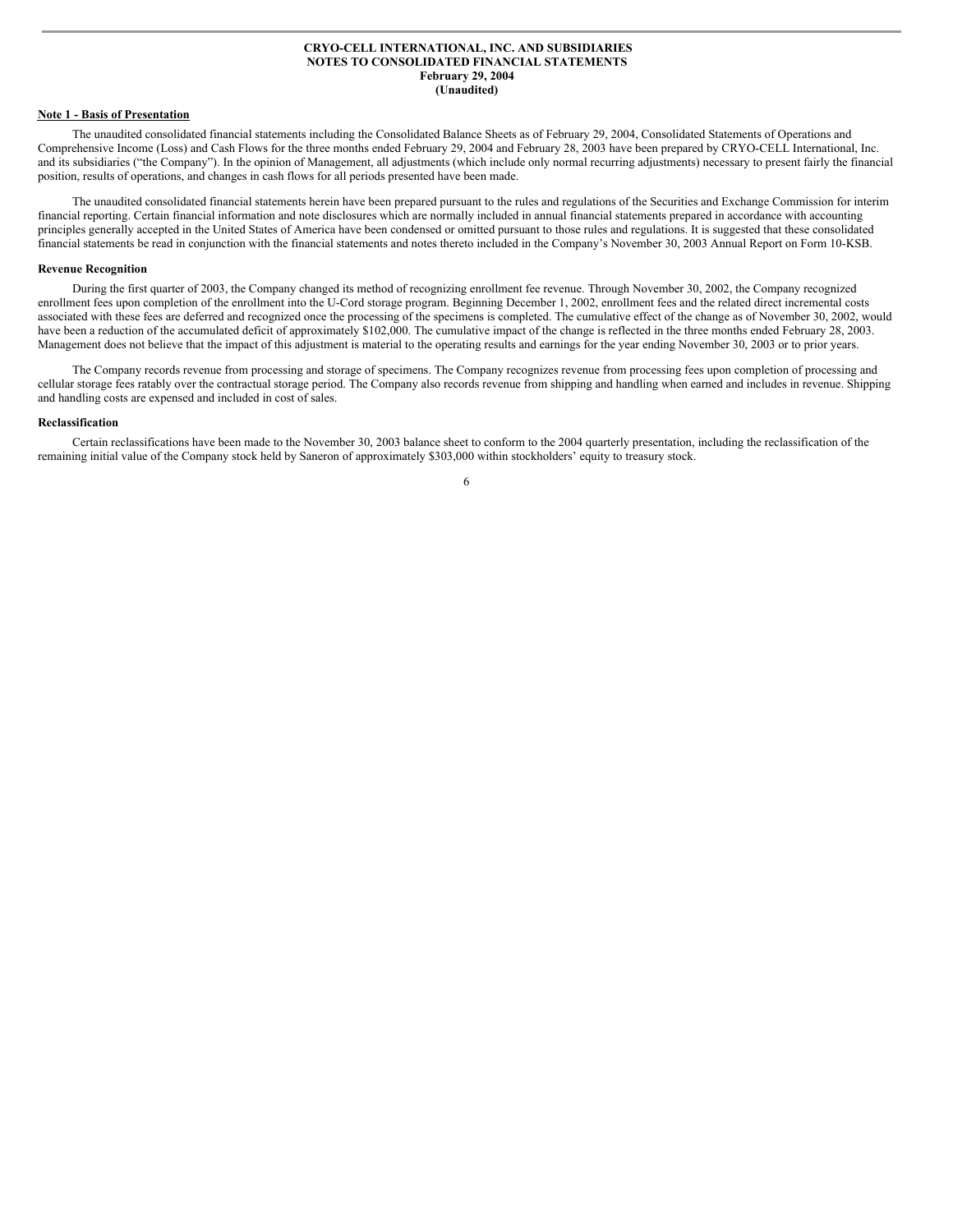#### <span id="page-5-0"></span>**CRYO-CELL INTERNATIONAL, INC. AND SUBSIDIARIES NOTES TO CONSOLIDATED FINANCIAL STATEMENTS February 29, 2004 (Unaudited)**

#### **Note 1 - Basis of Presentation**

The unaudited consolidated financial statements including the Consolidated Balance Sheets as of February 29, 2004, Consolidated Statements of Operations and Comprehensive Income (Loss) and Cash Flows for the three months ended February 29, 2004 and February 28, 2003 have been prepared by CRYO-CELL International, Inc. and its subsidiaries ("the Company"). In the opinion of Management, all adjustments (which include only normal recurring adjustments) necessary to present fairly the financial position, results of operations, and changes in cash flows for all periods presented have been made.

The unaudited consolidated financial statements herein have been prepared pursuant to the rules and regulations of the Securities and Exchange Commission for interim financial reporting. Certain financial information and note disclosures which are normally included in annual financial statements prepared in accordance with accounting principles generally accepted in the United States of America have been condensed or omitted pursuant to those rules and regulations. It is suggested that these consolidated financial statements be read in conjunction with the financial statements and notes thereto included in the Company's November 30, 2003 Annual Report on Form 10-KSB.

#### **Revenue Recognition**

During the first quarter of 2003, the Company changed its method of recognizing enrollment fee revenue. Through November 30, 2002, the Company recognized enrollment fees upon completion of the enrollment into the U-Cord storage program. Beginning December 1, 2002, enrollment fees and the related direct incremental costs associated with these fees are deferred and recognized once the processing of the specimens is completed. The cumulative effect of the change as of November 30, 2002, would have been a reduction of the accumulated deficit of approximately \$102,000. The cumulative impact of the change is reflected in the three months ended February 28, 2003. Management does not believe that the impact of this adjustment is material to the operating results and earnings for the year ending November 30, 2003 or to prior years.

The Company records revenue from processing and storage of specimens. The Company recognizes revenue from processing fees upon completion of processing and cellular storage fees ratably over the contractual storage period. The Company also records revenue from shipping and handling when earned and includes in revenue. Shipping and handling costs are expensed and included in cost of sales.

#### **Reclassification**

Certain reclassifications have been made to the November 30, 2003 balance sheet to conform to the 2004 quarterly presentation, including the reclassification of the remaining initial value of the Company stock held by Saneron of approximately \$303,000 within stockholders' equity to treasury stock.

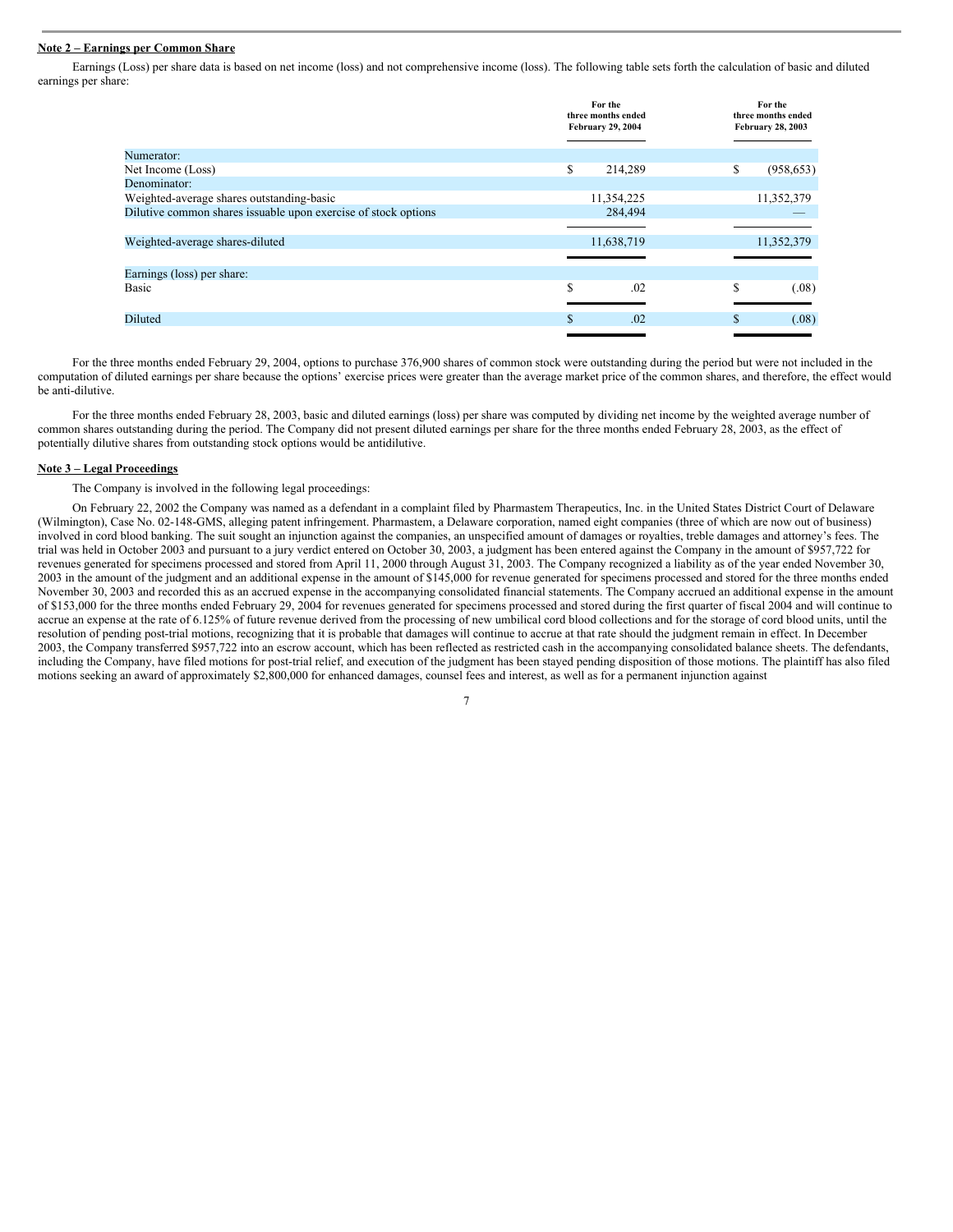#### **Note 2 – Earnings per Common Share**

Earnings (Loss) per share data is based on net income (loss) and not comprehensive income (loss). The following table sets forth the calculation of basic and diluted earnings per share:

|                                                                | For the<br>three months ended<br><b>February 29, 2004</b> | For the<br>three months ended<br><b>February 28, 2003</b> |
|----------------------------------------------------------------|-----------------------------------------------------------|-----------------------------------------------------------|
| Numerator:                                                     |                                                           |                                                           |
| Net Income (Loss)                                              | \$<br>214,289                                             | \$<br>(958, 653)                                          |
| Denominator:                                                   |                                                           |                                                           |
| Weighted-average shares outstanding-basic                      | 11,354,225                                                | 11,352,379                                                |
| Dilutive common shares issuable upon exercise of stock options | 284,494                                                   |                                                           |
|                                                                |                                                           |                                                           |
| Weighted-average shares-diluted                                | 11,638,719                                                | 11,352,379                                                |
|                                                                |                                                           |                                                           |
| Earnings (loss) per share:                                     |                                                           |                                                           |
| Basic                                                          | S<br>.02                                                  | \$<br>(.08)                                               |
|                                                                |                                                           |                                                           |
| Diluted                                                        | S<br>.02                                                  | (.08)<br>\$                                               |
|                                                                |                                                           |                                                           |

For the three months ended February 29, 2004, options to purchase 376,900 shares of common stock were outstanding during the period but were not included in the computation of diluted earnings per share because the options' exercise prices were greater than the average market price of the common shares, and therefore, the effect would be anti-dilutive.

For the three months ended February 28, 2003, basic and diluted earnings (loss) per share was computed by dividing net income by the weighted average number of common shares outstanding during the period. The Company did not present diluted earnings per share for the three months ended February 28, 2003, as the effect of potentially dilutive shares from outstanding stock options would be antidilutive.

#### **Note 3 – Legal Proceedings**

The Company is involved in the following legal proceedings:

On February 22, 2002 the Company was named as a defendant in a complaint filed by Pharmastem Therapeutics, Inc. in the United States District Court of Delaware (Wilmington), Case No. 02-148-GMS, alleging patent infringement. Pharmastem, a Delaware corporation, named eight companies (three of which are now out of business) involved in cord blood banking. The suit sought an injunction against the companies, an unspecified amount of damages or royalties, treble damages and attorney's fees. The trial was held in October 2003 and pursuant to a jury verdict entered on October 30, 2003, a judgment has been entered against the Company in the amount of \$957,722 for revenues generated for specimens processed and stored from April 11, 2000 through August 31, 2003. The Company recognized a liability as of the year ended November 30, 2003 in the amount of the judgment and an additional expense in the amount of \$145,000 for revenue generated for specimens processed and stored for the three months ended November 30, 2003 and recorded this as an accrued expense in the accompanying consolidated financial statements. The Company accrued an additional expense in the amount of \$153,000 for the three months ended February 29, 2004 for revenues generated for specimens processed and stored during the first quarter of fiscal 2004 and will continue to accrue an expense at the rate of 6.125% of future revenue derived from the processing of new umbilical cord blood collections and for the storage of cord blood units, until the resolution of pending post-trial motions, recognizing that it is probable that damages will continue to accrue at that rate should the judgment remain in effect. In December 2003, the Company transferred \$957,722 into an escrow account, which has been reflected as restricted cash in the accompanying consolidated balance sheets. The defendants, including the Company, have filed motions for post-trial relief, and execution of the judgment has been stayed pending disposition of those motions. The plaintiff has also filed motions seeking an award of approximately \$2,800,000 for enhanced damages, counsel fees and interest, as well as for a permanent injunction against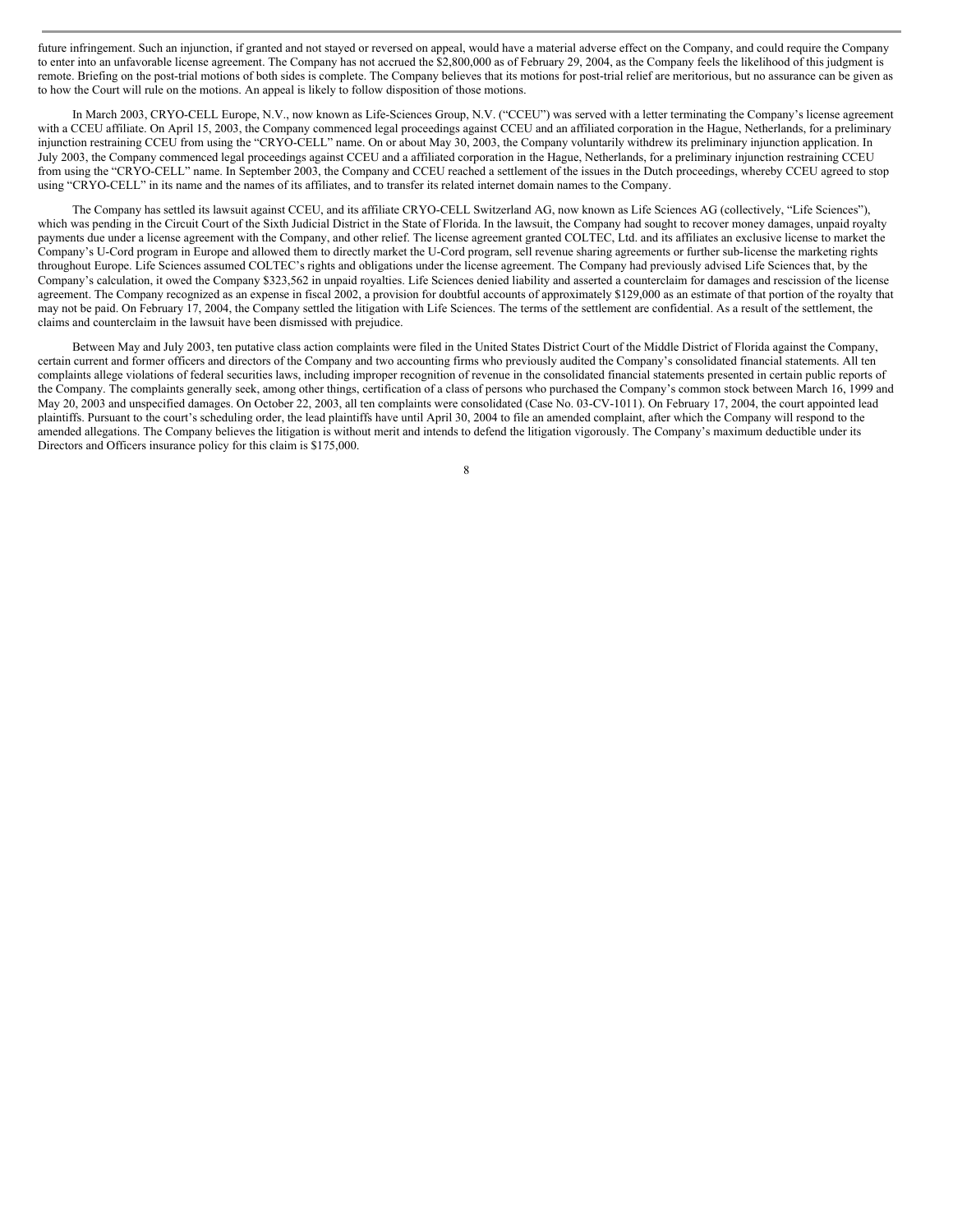future infringement. Such an injunction, if granted and not stayed or reversed on appeal, would have a material adverse effect on the Company, and could require the Company to enter into an unfavorable license agreement. The Company has not accrued the \$2,800,000 as of February 29, 2004, as the Company feels the likelihood of this judgment is remote. Briefing on the post-trial motions of both sides is complete. The Company believes that its motions for post-trial relief are meritorious, but no assurance can be given as to how the Court will rule on the motions. An appeal is likely to follow disposition of those motions.

In March 2003, CRYO-CELL Europe, N.V., now known as Life-Sciences Group, N.V. ("CCEU") was served with a letter terminating the Company's license agreement with a CCEU affiliate. On April 15, 2003, the Company commenced legal proceedings against CCEU and an affiliated corporation in the Hague, Netherlands, for a preliminary injunction restraining CCEU from using the "CRYO-CELL" name. On or about May 30, 2003, the Company voluntarily withdrew its preliminary injunction application. In July 2003, the Company commenced legal proceedings against CCEU and a affiliated corporation in the Hague, Netherlands, for a preliminary injunction restraining CCEU from using the "CRYO-CELL" name. In September 2003, the Company and CCEU reached a settlement of the issues in the Dutch proceedings, whereby CCEU agreed to stop using "CRYO-CELL" in its name and the names of its affiliates, and to transfer its related internet domain names to the Company.

The Company has settled its lawsuit against CCEU, and its affiliate CRYO-CELL Switzerland AG, now known as Life Sciences AG (collectively, "Life Sciences"), which was pending in the Circuit Court of the Sixth Judicial District in the State of Florida. In the lawsuit, the Company had sought to recover money damages, unpaid royalty payments due under a license agreement with the Company, and other relief. The license agreement granted COLTEC, Ltd. and its affiliates an exclusive license to market the Company's U-Cord program in Europe and allowed them to directly market the U-Cord program, sell revenue sharing agreements or further sub-license the marketing rights throughout Europe. Life Sciences assumed COLTEC's rights and obligations under the license agreement. The Company had previously advised Life Sciences that, by the Company's calculation, it owed the Company \$323,562 in unpaid royalties. Life Sciences denied liability and asserted a counterclaim for damages and rescission of the license agreement. The Company recognized as an expense in fiscal 2002, a provision for doubtful accounts of approximately \$129,000 as an estimate of that portion of the royalty that may not be paid. On February 17, 2004, the Company settled the litigation with Life Sciences. The terms of the settlement are confidential. As a result of the settlement, the claims and counterclaim in the lawsuit have been dismissed with prejudice.

Between May and July 2003, ten putative class action complaints were filed in the United States District Court of the Middle District of Florida against the Company, certain current and former officers and directors of the Company and two accounting firms who previously audited the Company's consolidated financial statements. All ten complaints allege violations of federal securities laws, including improper recognition of revenue in the consolidated financial statements presented in certain public reports of the Company. The complaints generally seek, among other things, certification of a class of persons who purchased the Company's common stock between March 16, 1999 and May 20, 2003 and unspecified damages. On October 22, 2003, all ten complaints were consolidated (Case No. 03-CV-1011). On February 17, 2004, the court appointed lead plaintiffs. Pursuant to the court's scheduling order, the lead plaintiffs have until April 30, 2004 to file an amended complaint, after which the Company will respond to the amended allegations. The Company believes the litigation is without merit and intends to defend the litigation vigorously. The Company's maximum deductible under its Directors and Officers insurance policy for this claim is \$175,000.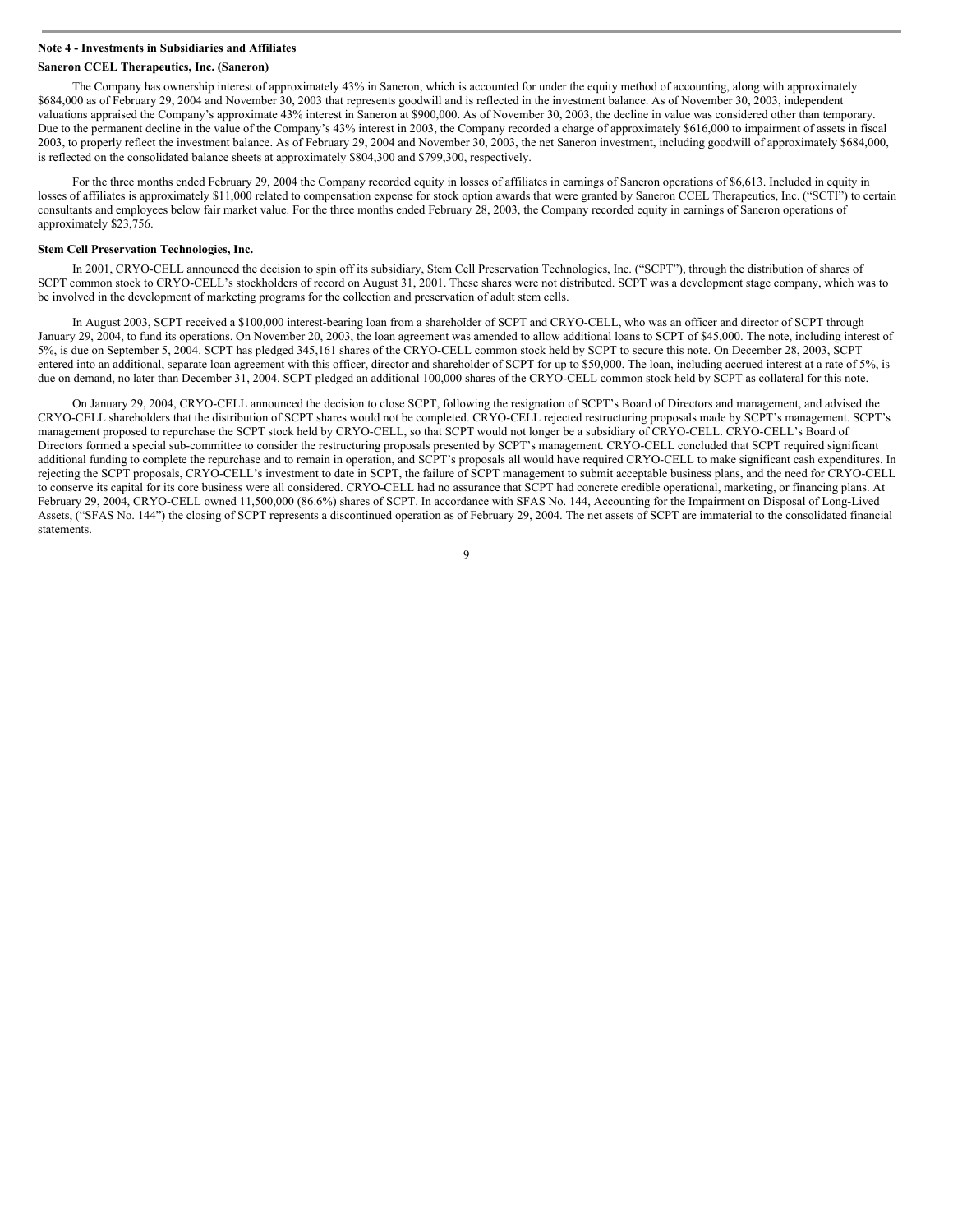#### **Note 4 - Investments in Subsidiaries and Affiliates**

#### **Saneron CCEL Therapeutics, Inc. (Saneron)**

The Company has ownership interest of approximately 43% in Saneron, which is accounted for under the equity method of accounting, along with approximately \$684,000 as of February 29, 2004 and November 30, 2003 that represents goodwill and is reflected in the investment balance. As of November 30, 2003, independent valuations appraised the Company's approximate 43% interest in Saneron at \$900,000. As of November 30, 2003, the decline in value was considered other than temporary. Due to the permanent decline in the value of the Company's 43% interest in 2003, the Company recorded a charge of approximately \$616,000 to impairment of assets in fiscal 2003, to properly reflect the investment balance. As of February 29, 2004 and November 30, 2003, the net Saneron investment, including goodwill of approximately \$684,000, is reflected on the consolidated balance sheets at approximately \$804,300 and \$799,300, respectively.

For the three months ended February 29, 2004 the Company recorded equity in losses of affiliates in earnings of Saneron operations of \$6,613. Included in equity in losses of affiliates is approximately \$11,000 related to compensation expense for stock option awards that were granted by Saneron CCEL Therapeutics, Inc. ("SCTI") to certain consultants and employees below fair market value. For the three months ended February 28, 2003, the Company recorded equity in earnings of Saneron operations of approximately \$23,756.

#### **Stem Cell Preservation Technologies, Inc.**

In 2001, CRYO-CELL announced the decision to spin off its subsidiary, Stem Cell Preservation Technologies, Inc. ("SCPT"), through the distribution of shares of SCPT common stock to CRYO-CELL's stockholders of record on August 31, 2001. These shares were not distributed. SCPT was a development stage company, which was to be involved in the development of marketing programs for the collection and preservation of adult stem cells.

In August 2003, SCPT received a \$100,000 interest-bearing loan from a shareholder of SCPT and CRYO-CELL, who was an officer and director of SCPT through January 29, 2004, to fund its operations. On November 20, 2003, the loan agreement was amended to allow additional loans to SCPT of \$45,000. The note, including interest of 5%, is due on September 5, 2004. SCPT has pledged 345,161 shares of the CRYO-CELL common stock held by SCPT to secure this note. On December 28, 2003, SCPT entered into an additional, separate loan agreement with this officer, director and shareholder of SCPT for up to \$50,000. The loan, including accrued interest at a rate of 5%, is due on demand, no later than December 31, 2004. SCPT pledged an additional 100,000 shares of the CRYO-CELL common stock held by SCPT as collateral for this note.

On January 29, 2004, CRYO-CELL announced the decision to close SCPT, following the resignation of SCPT's Board of Directors and management, and advised the CRYO-CELL shareholders that the distribution of SCPT shares would not be completed. CRYO-CELL rejected restructuring proposals made by SCPT's management. SCPT's management proposed to repurchase the SCPT stock held by CRYO-CELL, so that SCPT would not longer be a subsidiary of CRYO-CELL. CRYO-CELL's Board of Directors formed a special sub-committee to consider the restructuring proposals presented by SCPT's management. CRYO-CELL concluded that SCPT required significant additional funding to complete the repurchase and to remain in operation, and SCPT's proposals all would have required CRYO-CELL to make significant cash expenditures. In rejecting the SCPT proposals, CRYO-CELL's investment to date in SCPT, the failure of SCPT management to submit acceptable business plans, and the need for CRYO-CELL to conserve its capital for its core business were all considered. CRYO-CELL had no assurance that SCPT had concrete credible operational, marketing, or financing plans. At February 29, 2004, CRYO-CELL owned 11,500,000 (86.6%) shares of SCPT. In accordance with SFAS No. 144, Accounting for the Impairment on Disposal of Long-Lived Assets, ("SFAS No. 144") the closing of SCPT represents a discontinued operation as of February 29, 2004. The net assets of SCPT are immaterial to the consolidated financial statements.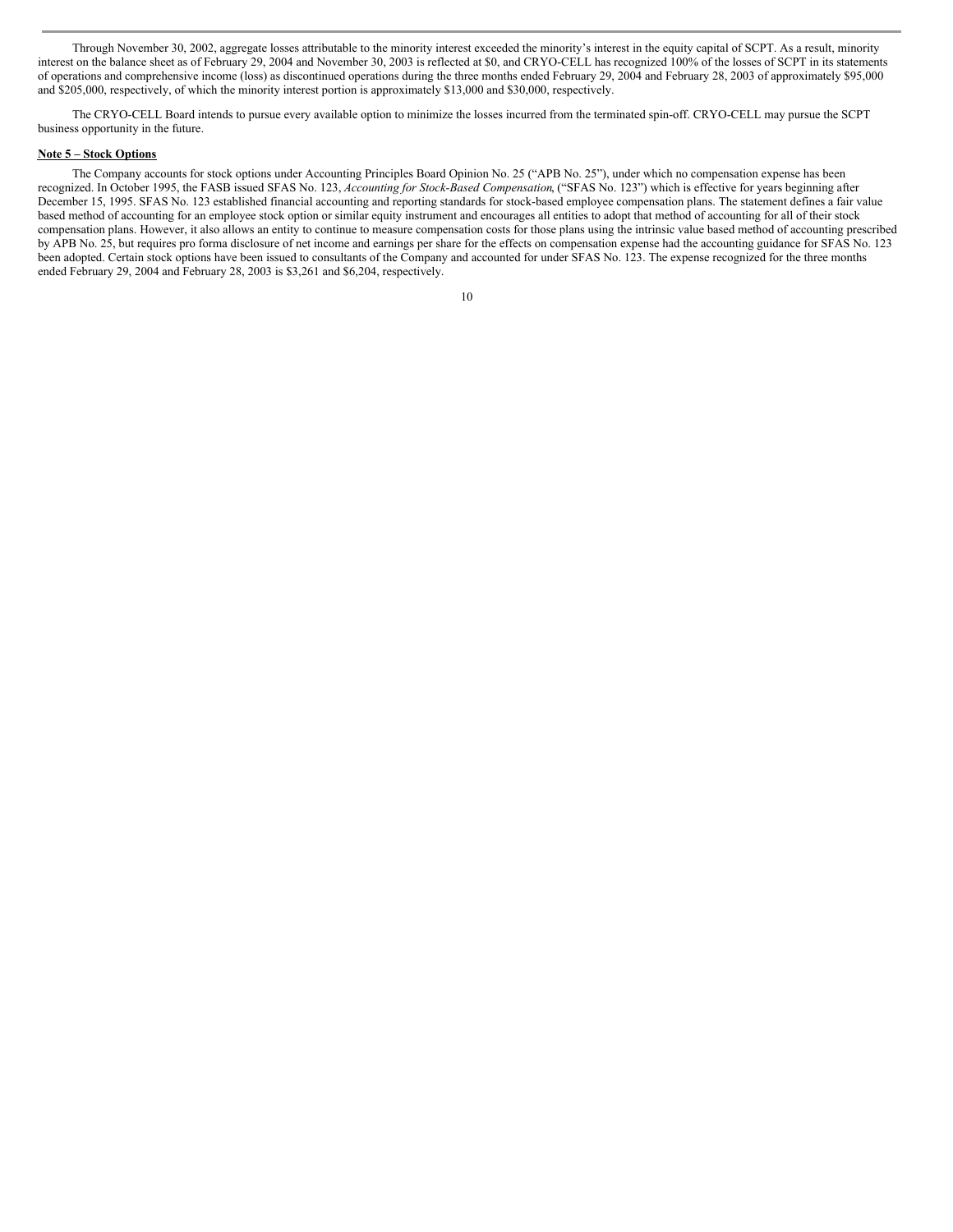Through November 30, 2002, aggregate losses attributable to the minority interest exceeded the minority's interest in the equity capital of SCPT. As a result, minority interest on the balance sheet as of February 29, 2004 and November 30, 2003 is reflected at \$0, and CRYO-CELL has recognized 100% of the losses of SCPT in its statements of operations and comprehensive income (loss) as discontinued operations during the three months ended February 29, 2004 and February 28, 2003 of approximately \$95,000 and \$205,000, respectively, of which the minority interest portion is approximately \$13,000 and \$30,000, respectively.

The CRYO-CELL Board intends to pursue every available option to minimize the losses incurred from the terminated spin-off. CRYO-CELL may pursue the SCPT business opportunity in the future.

#### **Note 5 – Stock Options**

The Company accounts for stock options under Accounting Principles Board Opinion No. 25 ("APB No. 25"), under which no compensation expense has been recognized. In October 1995, the FASB issued SFAS No. 123, *Accounting for Stock-Based Compensation*, ("SFAS No. 123") which is effective for years beginning after December 15, 1995. SFAS No. 123 established financial accounting and reporting standards for stock-based employee compensation plans. The statement defines a fair value based method of accounting for an employee stock option or similar equity instrument and encourages all entities to adopt that method of accounting for all of their stock compensation plans. However, it also allows an entity to continue to measure compensation costs for those plans using the intrinsic value based method of accounting prescribed by APB No. 25, but requires pro forma disclosure of net income and earnings per share for the effects on compensation expense had the accounting guidance for SFAS No. 123 been adopted. Certain stock options have been issued to consultants of the Company and accounted for under SFAS No. 123. The expense recognized for the three months ended February 29, 2004 and February 28, 2003 is \$3,261 and \$6,204, respectively.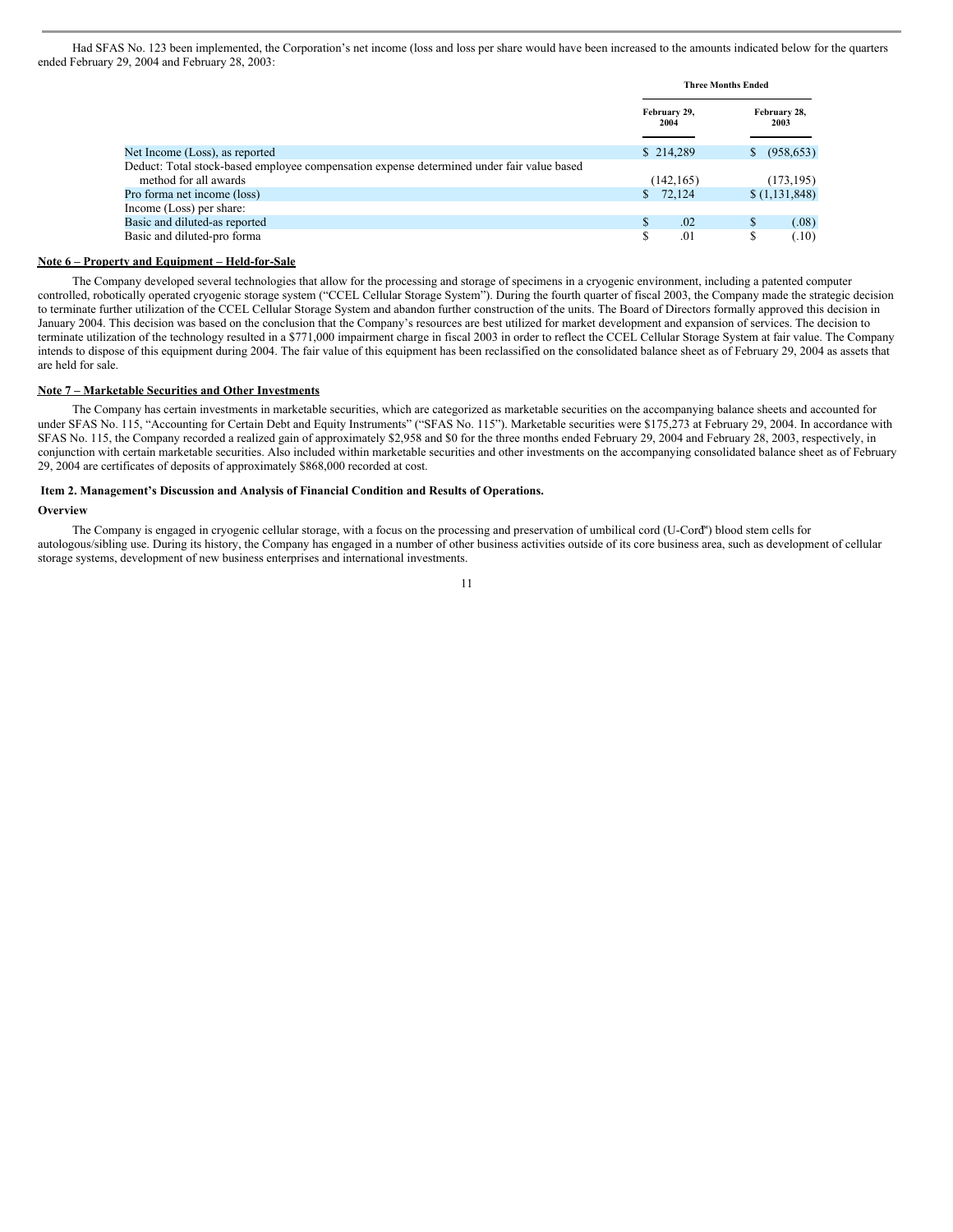Had SFAS No. 123 been implemented, the Corporation's net income (loss and loss per share would have been increased to the amounts indicated below for the quarters ended February 29, 2004 and February 28, 2003:

|                                                                                           | <b>Three Months Ended</b> |                      |              |                      |
|-------------------------------------------------------------------------------------------|---------------------------|----------------------|--------------|----------------------|
|                                                                                           |                           | February 29,<br>2004 |              | February 28,<br>2003 |
| Net Income (Loss), as reported                                                            |                           | \$214,289            | <sup>S</sup> | (958, 653)           |
| Deduct: Total stock-based employee compensation expense determined under fair value based |                           |                      |              |                      |
| method for all awards                                                                     |                           | (142, 165)           |              | (173, 195)           |
| Pro forma net income (loss)                                                               |                           | \$72,124             |              | \$(1,131,848)        |
| Income (Loss) per share:                                                                  |                           |                      |              |                      |
| Basic and diluted-as reported                                                             | \$                        | .02                  | \$           | (.08)                |
| Basic and diluted-pro forma                                                               | \$                        | .01                  | S            | (.10)                |

#### **Note 6 – Property and Equipment – Held-for-Sale**

The Company developed several technologies that allow for the processing and storage of specimens in a cryogenic environment, including a patented computer controlled, robotically operated cryogenic storage system ("CCEL Cellular Storage System"). During the fourth quarter of fiscal 2003, the Company made the strategic decision to terminate further utilization of the CCEL Cellular Storage System and abandon further construction of the units. The Board of Directors formally approved this decision in January 2004. This decision was based on the conclusion that the Company's resources are best utilized for market development and expansion of services. The decision to terminate utilization of the technology resulted in a \$771,000 impairment charge in fiscal 2003 in order to reflect the CCEL Cellular Storage System at fair value. The Company intends to dispose of this equipment during 2004. The fair value of this equipment has been reclassified on the consolidated balance sheet as of February 29, 2004 as assets that are held for sale.

#### **Note 7 – Marketable Securities and Other Investments**

The Company has certain investments in marketable securities, which are categorized as marketable securities on the accompanying balance sheets and accounted for under SFAS No. 115, "Accounting for Certain Debt and Equity Instruments" ("SFAS No. 115"). Marketable securities were \$175,273 at February 29, 2004. In accordance with SFAS No. 115, the Company recorded a realized gain of approximately \$2,958 and \$0 for the three months ended February 29, 2004 and February 28, 2003, respectively, in conjunction with certain marketable securities. Also included within marketable securities and other investments on the accompanying consolidated balance sheet as of February 29, 2004 are certificates of deposits of approximately \$868,000 recorded at cost.

## <span id="page-10-0"></span>**Item 2. Management's Discussion and Analysis of Financial Condition and Results of Operations.**

#### **Overview**

The Company is engaged in cryogenic cellular storage, with a focus on the processing and preservation of umbilical cord (U-Cord™) blood stem cells for autologous/sibling use. During its history, the Company has engaged in a number of other business activities outside of its core business area, such as development of cellular storage systems, development of new business enterprises and international investments.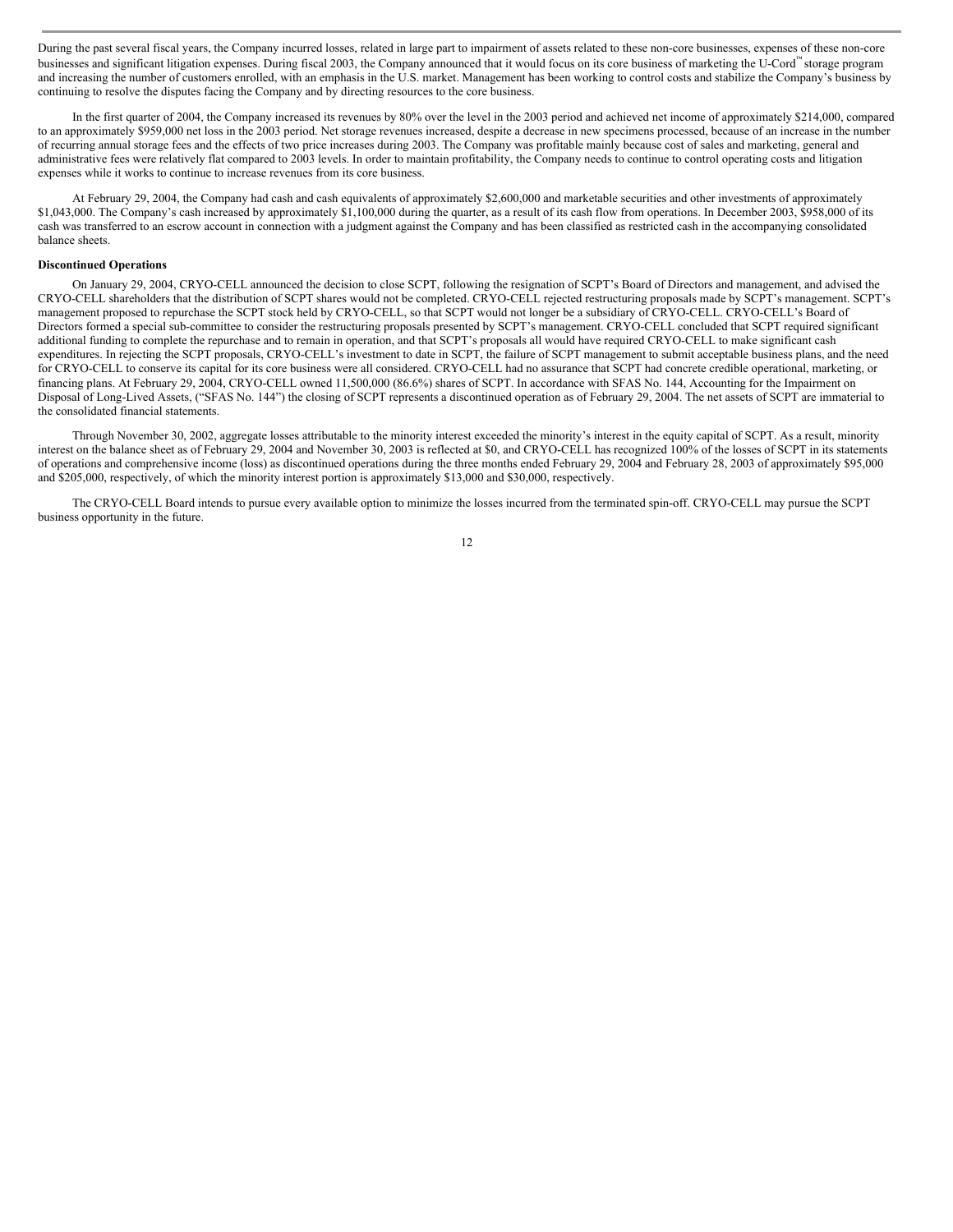During the past several fiscal years, the Company incurred losses, related in large part to impairment of assets related to these non-core businesses, expenses of these non-core businesses and significant litigation expenses. During fiscal 2003, the Company announced that it would focus on its core business of marketing the U-Cord<sup>™</sup> storage program and increasing the number of customers enrolled, with an emphasis in the U.S. market. Management has been working to control costs and stabilize the Company's business by continuing to resolve the disputes facing the Company and by directing resources to the core business.

In the first quarter of 2004, the Company increased its revenues by 80% over the level in the 2003 period and achieved net income of approximately \$214,000, compared to an approximately \$959,000 net loss in the 2003 period. Net storage revenues increased, despite a decrease in new specimens processed, because of an increase in the number of recurring annual storage fees and the effects of two price increases during 2003. The Company was profitable mainly because cost of sales and marketing, general and administrative fees were relatively flat compared to 2003 levels. In order to maintain profitability, the Company needs to continue to control operating costs and litigation expenses while it works to continue to increase revenues from its core business.

At February 29, 2004, the Company had cash and cash equivalents of approximately \$2,600,000 and marketable securities and other investments of approximately \$1,043,000. The Company's cash increased by approximately \$1,100,000 during the quarter, as a result of its cash flow from operations. In December 2003, \$958,000 of its cash was transferred to an escrow account in connection with a judgment against the Company and has been classified as restricted cash in the accompanying consolidated balance sheets.

#### **Discontinued Operations**

On January 29, 2004, CRYO-CELL announced the decision to close SCPT, following the resignation of SCPT's Board of Directors and management, and advised the CRYO-CELL shareholders that the distribution of SCPT shares would not be completed. CRYO-CELL rejected restructuring proposals made by SCPT's management. SCPT's management proposed to repurchase the SCPT stock held by CRYO-CELL, so that SCPT would not longer be a subsidiary of CRYO-CELL. CRYO-CELL's Board of Directors formed a special sub-committee to consider the restructuring proposals presented by SCPT's management. CRYO-CELL concluded that SCPT required significant additional funding to complete the repurchase and to remain in operation, and that SCPT's proposals all would have required CRYO-CELL to make significant cash expenditures. In rejecting the SCPT proposals, CRYO-CELL's investment to date in SCPT, the failure of SCPT management to submit acceptable business plans, and the need for CRYO-CELL to conserve its capital for its core business were all considered. CRYO-CELL had no assurance that SCPT had concrete credible operational, marketing, or financing plans. At February 29, 2004, CRYO-CELL owned 11,500,000 (86.6%) shares of SCPT. In accordance with SFAS No. 144, Accounting for the Impairment on Disposal of Long-Lived Assets, ("SFAS No. 144") the closing of SCPT represents a discontinued operation as of February 29, 2004. The net assets of SCPT are immaterial to the consolidated financial statements.

Through November 30, 2002, aggregate losses attributable to the minority interest exceeded the minority's interest in the equity capital of SCPT. As a result, minority interest on the balance sheet as of February 29, 2004 and November 30, 2003 is reflected at \$0, and CRYO-CELL has recognized 100% of the losses of SCPT in its statements of operations and comprehensive income (loss) as discontinued operations during the three months ended February 29, 2004 and February 28, 2003 of approximately \$95,000 and \$205,000, respectively, of which the minority interest portion is approximately \$13,000 and \$30,000, respectively.

The CRYO-CELL Board intends to pursue every available option to minimize the losses incurred from the terminated spin-off. CRYO-CELL may pursue the SCPT business opportunity in the future.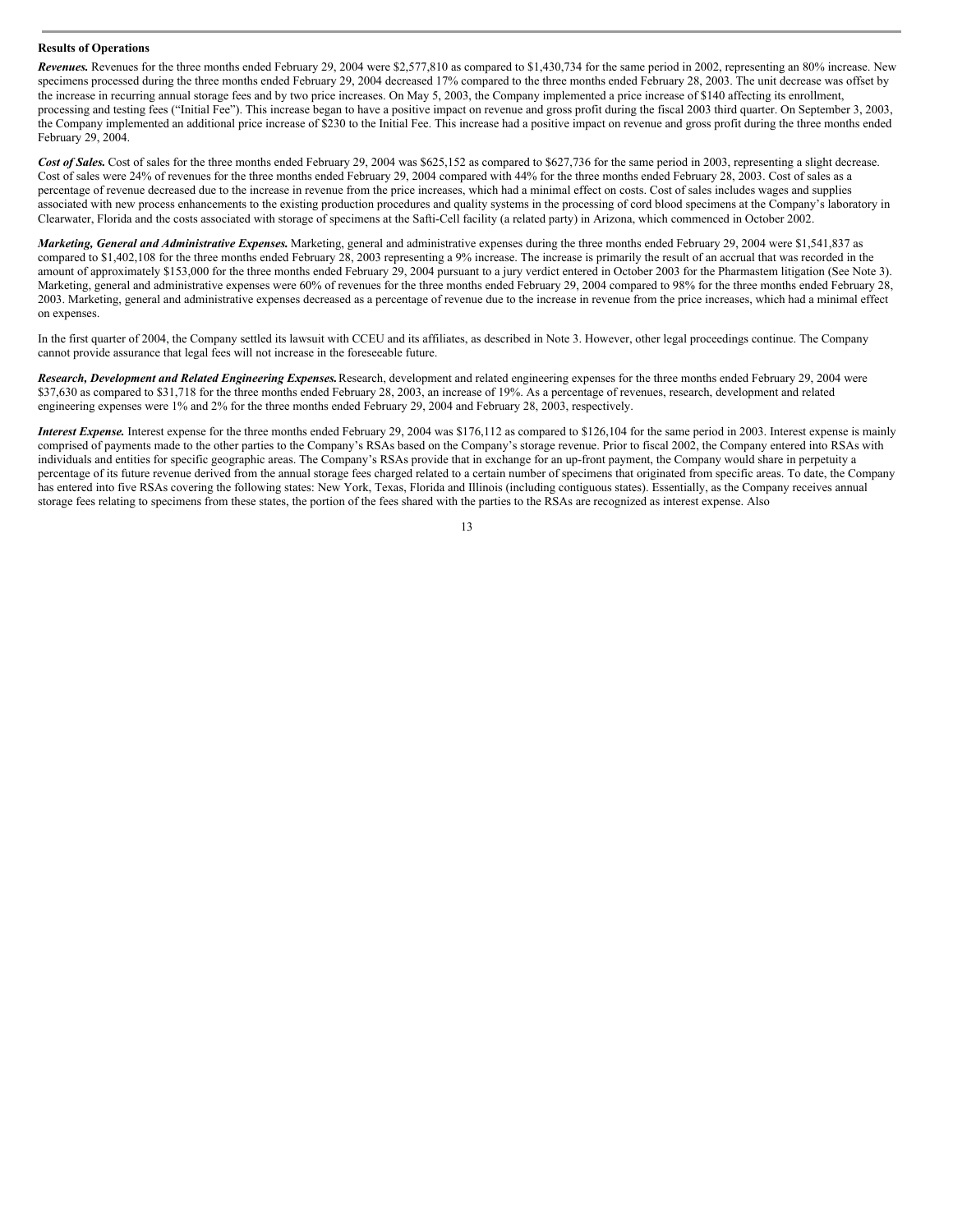#### **Results of Operations**

*Revenues.* Revenues for the three months ended February 29, 2004 were \$2,577,810 as compared to \$1,430,734 for the same period in 2002, representing an 80% increase. New specimens processed during the three months ended February 29, 2004 decreased 17% compared to the three months ended February 28, 2003. The unit decrease was offset by the increase in recurring annual storage fees and by two price increases. On May 5, 2003, the Company implemented a price increase of \$140 affecting its enrollment, processing and testing fees ("Initial Fee"). This increase began to have a positive impact on revenue and gross profit during the fiscal 2003 third quarter. On September 3, 2003, the Company implemented an additional price increase of \$230 to the Initial Fee. This increase had a positive impact on revenue and gross profit during the three months ended February 29, 2004.

Cost of Sales. Cost of sales for the three months ended February 29, 2004 was \$625,152 as compared to \$627,736 for the same period in 2003, representing a slight decrease. Cost of sales were 24% of revenues for the three months ended February 29, 2004 compared with 44% for the three months ended February 28, 2003. Cost of sales as a percentage of revenue decreased due to the increase in revenue from the price increases, which had a minimal effect on costs. Cost of sales includes wages and supplies associated with new process enhancements to the existing production procedures and quality systems in the processing of cord blood specimens at the Company's laboratory in Clearwater, Florida and the costs associated with storage of specimens at the Safti-Cell facility (a related party) in Arizona, which commenced in October 2002.

*Marketing, General and Administrative Expenses.* Marketing, general and administrative expenses during the three months ended February 29, 2004 were \$1,541,837 as compared to \$1,402,108 for the three months ended February 28, 2003 representing a 9% increase. The increase is primarily the result of an accrual that was recorded in the amount of approximately \$153,000 for the three months ended February 29, 2004 pursuant to a jury verdict entered in October 2003 for the Pharmastem litigation (See Note 3). Marketing, general and administrative expenses were 60% of revenues for the three months ended February 29, 2004 compared to 98% for the three months ended February 28, 2003. Marketing, general and administrative expenses decreased as a percentage of revenue due to the increase in revenue from the price increases, which had a minimal effect on expenses.

In the first quarter of 2004, the Company settled its lawsuit with CCEU and its affiliates, as described in Note 3. However, other legal proceedings continue. The Company cannot provide assurance that legal fees will not increase in the foreseeable future.

*Research, Development and Related Engineering Expenses.*Research, development and related engineering expenses for the three months ended February 29, 2004 were \$37,630 as compared to \$31,718 for the three months ended February 28, 2003, an increase of 19%. As a percentage of revenues, research, development and related engineering expenses were 1% and 2% for the three months ended February 29, 2004 and February 28, 2003, respectively.

*Interest Expense.* Interest expense for the three months ended February 29, 2004 was \$176,112 as compared to \$126,104 for the same period in 2003. Interest expense is mainly comprised of payments made to the other parties to the Company's RSAs based on the Company's storage revenue. Prior to fiscal 2002, the Company entered into RSAs with individuals and entities for specific geographic areas. The Company's RSAs provide that in exchange for an up-front payment, the Company would share in perpetuity a percentage of its future revenue derived from the annual storage fees charged related to a certain number of specimens that originated from specific areas. To date, the Company has entered into five RSAs covering the following states: New York, Texas, Florida and Illinois (including contiguous states). Essentially, as the Company receives annual storage fees relating to specimens from these states, the portion of the fees shared with the parties to the RSAs are recognized as interest expense. Also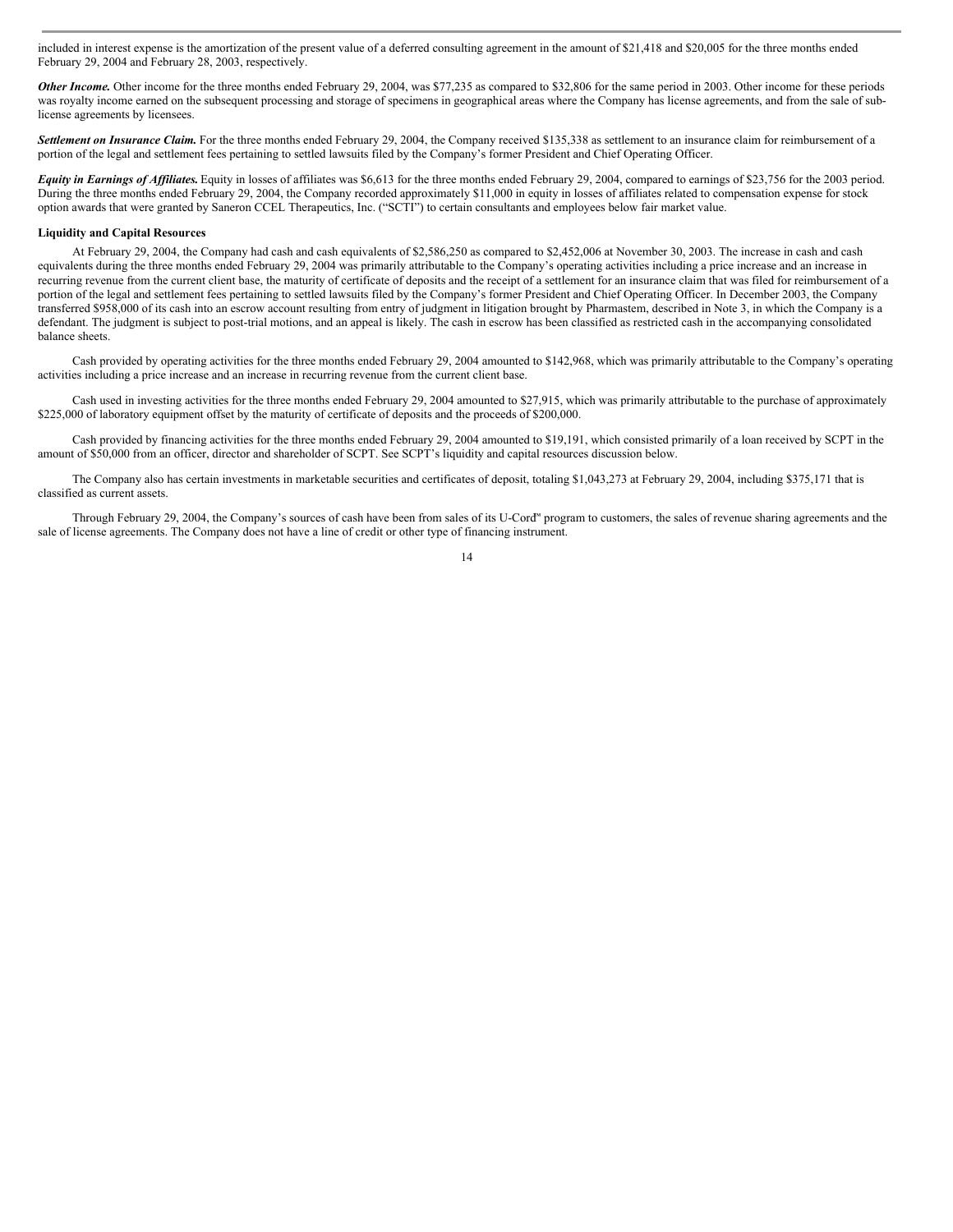included in interest expense is the amortization of the present value of a deferred consulting agreement in the amount of \$21,418 and \$20,005 for the three months ended February 29, 2004 and February 28, 2003, respectively.

*Other Income.* Other income for the three months ended February 29, 2004, was \$77,235 as compared to \$32,806 for the same period in 2003. Other income for these periods was royalty income earned on the subsequent processing and storage of specimens in geographical areas where the Company has license agreements, and from the sale of sublicense agreements by licensees.

*Settlement on Insurance Claim.* For the three months ended February 29, 2004, the Company received \$135,338 as settlement to an insurance claim for reimbursement of a portion of the legal and settlement fees pertaining to settled lawsuits filed by the Company's former President and Chief Operating Officer.

*Equity in Earnings of Affiliates*. Equity in losses of affiliates was \$6,613 for the three months ended February 29, 2004, compared to earnings of \$23,756 for the 2003 period. During the three months ended February 29, 2004, the Company recorded approximately \$11,000 in equity in losses of affiliates related to compensation expense for stock option awards that were granted by Saneron CCEL Therapeutics, Inc. ("SCTI") to certain consultants and employees below fair market value.

#### **Liquidity and Capital Resources**

At February 29, 2004, the Company had cash and cash equivalents of \$2,586,250 as compared to \$2,452,006 at November 30, 2003. The increase in cash and cash equivalents during the three months ended February 29, 2004 was primarily attributable to the Company's operating activities including a price increase and an increase in recurring revenue from the current client base, the maturity of certificate of deposits and the receipt of a settlement for an insurance claim that was filed for reimbursement of a portion of the legal and settlement fees pertaining to settled lawsuits filed by the Company's former President and Chief Operating Officer. In December 2003, the Company transferred \$958,000 of its cash into an escrow account resulting from entry of judgment in litigation brought by Pharmastem, described in Note 3, in which the Company is a defendant. The judgment is subject to post-trial motions, and an appeal is likely. The cash in escrow has been classified as restricted cash in the accompanying consolidated balance sheets.

Cash provided by operating activities for the three months ended February 29, 2004 amounted to \$142,968, which was primarily attributable to the Company's operating activities including a price increase and an increase in recurring revenue from the current client base.

Cash used in investing activities for the three months ended February 29, 2004 amounted to \$27,915, which was primarily attributable to the purchase of approximately \$225,000 of laboratory equipment offset by the maturity of certificate of deposits and the proceeds of \$200,000.

Cash provided by financing activities for the three months ended February 29, 2004 amounted to \$19,191, which consisted primarily of a loan received by SCPT in the amount of \$50,000 from an officer, director and shareholder of SCPT. See SCPT's liquidity and capital resources discussion below.

The Company also has certain investments in marketable securities and certificates of deposit, totaling \$1,043,273 at February 29, 2004, including \$375,171 that is classified as current assets.

Through February 29, 2004, the Company's sources of cash have been from sales of its U-Cord™ program to customers, the sales of revenue sharing agreements and the sale of license agreements. The Company does not have a line of credit or other type of financing instrument.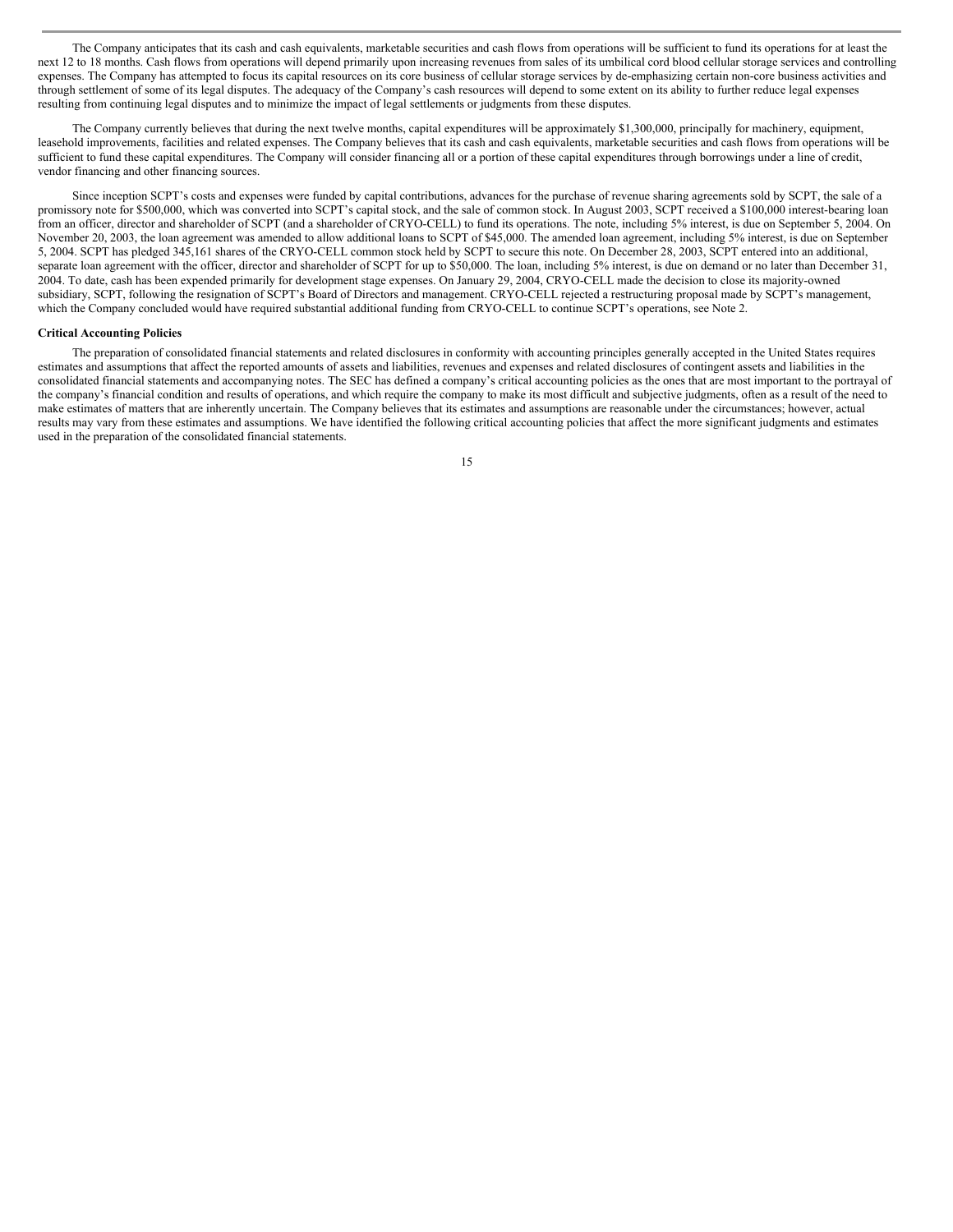The Company anticipates that its cash and cash equivalents, marketable securities and cash flows from operations will be sufficient to fund its operations for at least the next 12 to 18 months. Cash flows from operations will depend primarily upon increasing revenues from sales of its umbilical cord blood cellular storage services and controlling expenses. The Company has attempted to focus its capital resources on its core business of cellular storage services by de-emphasizing certain non-core business activities and through settlement of some of its legal disputes. The adequacy of the Company's cash resources will depend to some extent on its ability to further reduce legal expenses resulting from continuing legal disputes and to minimize the impact of legal settlements or judgments from these disputes.

The Company currently believes that during the next twelve months, capital expenditures will be approximately \$1,300,000, principally for machinery, equipment, leasehold improvements, facilities and related expenses. The Company believes that its cash and cash equivalents, marketable securities and cash flows from operations will be sufficient to fund these capital expenditures. The Company will consider financing all or a portion of these capital expenditures through borrowings under a line of credit, vendor financing and other financing sources.

Since inception SCPT's costs and expenses were funded by capital contributions, advances for the purchase of revenue sharing agreements sold by SCPT, the sale of a promissory note for \$500,000, which was converted into SCPT's capital stock, and the sale of common stock. In August 2003, SCPT received a \$100,000 interest-bearing loan from an officer, director and shareholder of SCPT (and a shareholder of CRYO-CELL) to fund its operations. The note, including 5% interest, is due on September 5, 2004. On November 20, 2003, the loan agreement was amended to allow additional loans to SCPT of \$45,000. The amended loan agreement, including 5% interest, is due on September 5, 2004. SCPT has pledged 345,161 shares of the CRYO-CELL common stock held by SCPT to secure this note. On December 28, 2003, SCPT entered into an additional, separate loan agreement with the officer, director and shareholder of SCPT for up to \$50,000. The loan, including 5% interest, is due on demand or no later than December 31, 2004. To date, cash has been expended primarily for development stage expenses. On January 29, 2004, CRYO-CELL made the decision to close its majority-owned subsidiary, SCPT, following the resignation of SCPT's Board of Directors and management. CRYO-CELL rejected a restructuring proposal made by SCPT's management, which the Company concluded would have required substantial additional funding from CRYO-CELL to continue SCPT's operations, see Note 2.

#### **Critical Accounting Policies**

The preparation of consolidated financial statements and related disclosures in conformity with accounting principles generally accepted in the United States requires estimates and assumptions that affect the reported amounts of assets and liabilities, revenues and expenses and related disclosures of contingent assets and liabilities in the consolidated financial statements and accompanying notes. The SEC has defined a company's critical accounting policies as the ones that are most important to the portrayal of the company's financial condition and results of operations, and which require the company to make its most difficult and subjective judgments, often as a result of the need to make estimates of matters that are inherently uncertain. The Company believes that its estimates and assumptions are reasonable under the circumstances; however, actual results may vary from these estimates and assumptions. We have identified the following critical accounting policies that affect the more significant judgments and estimates used in the preparation of the consolidated financial statements.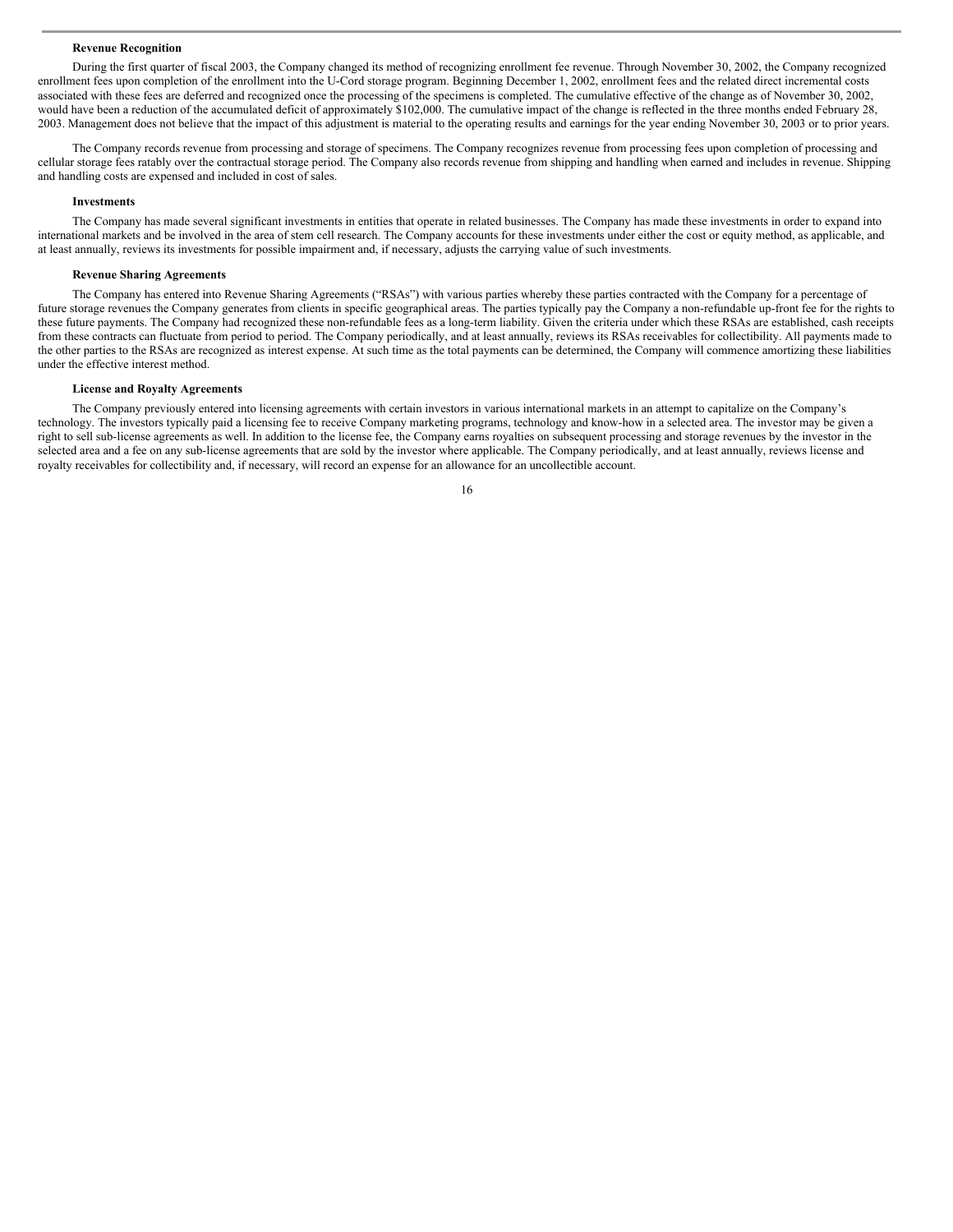#### **Revenue Recognition**

During the first quarter of fiscal 2003, the Company changed its method of recognizing enrollment fee revenue. Through November 30, 2002, the Company recognized enrollment fees upon completion of the enrollment into the U-Cord storage program. Beginning December 1, 2002, enrollment fees and the related direct incremental costs associated with these fees are deferred and recognized once the processing of the specimens is completed. The cumulative effective of the change as of November 30, 2002, would have been a reduction of the accumulated deficit of approximately \$102,000. The cumulative impact of the change is reflected in the three months ended February 28, 2003. Management does not believe that the impact of this adjustment is material to the operating results and earnings for the year ending November 30, 2003 or to prior years.

The Company records revenue from processing and storage of specimens. The Company recognizes revenue from processing fees upon completion of processing and cellular storage fees ratably over the contractual storage period. The Company also records revenue from shipping and handling when earned and includes in revenue. Shipping and handling costs are expensed and included in cost of sales.

#### **Investments**

The Company has made several significant investments in entities that operate in related businesses. The Company has made these investments in order to expand into international markets and be involved in the area of stem cell research. The Company accounts for these investments under either the cost or equity method, as applicable, and at least annually, reviews its investments for possible impairment and, if necessary, adjusts the carrying value of such investments.

#### **Revenue Sharing Agreements**

The Company has entered into Revenue Sharing Agreements ("RSAs") with various parties whereby these parties contracted with the Company for a percentage of future storage revenues the Company generates from clients in specific geographical areas. The parties typically pay the Company a non-refundable up-front fee for the rights to these future payments. The Company had recognized these non-refundable fees as a long-term liability. Given the criteria under which these RSAs are established, cash receipts from these contracts can fluctuate from period to period. The Company periodically, and at least annually, reviews its RSAs receivables for collectibility. All payments made to the other parties to the RSAs are recognized as interest expense. At such time as the total payments can be determined, the Company will commence amortizing these liabilities under the effective interest method.

#### **License and Royalty Agreements**

The Company previously entered into licensing agreements with certain investors in various international markets in an attempt to capitalize on the Company's technology. The investors typically paid a licensing fee to receive Company marketing programs, technology and know-how in a selected area. The investor may be given a right to sell sub-license agreements as well. In addition to the license fee, the Company earns royalties on subsequent processing and storage revenues by the investor in the selected area and a fee on any sub-license agreements that are sold by the investor where applicable. The Company periodically, and at least annually, reviews license and royalty receivables for collectibility and, if necessary, will record an expense for an allowance for an uncollectible account.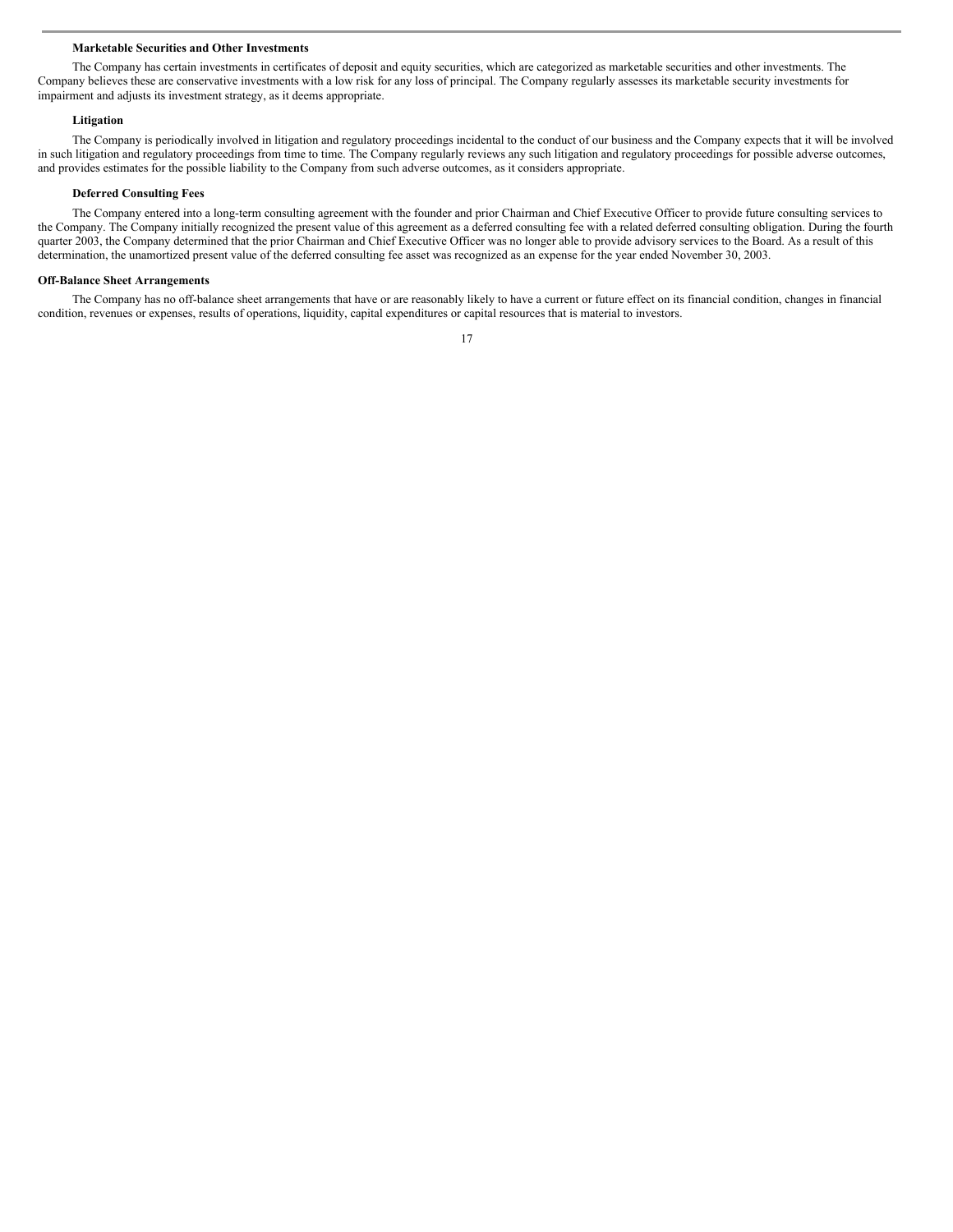#### **Marketable Securities and Other Investments**

The Company has certain investments in certificates of deposit and equity securities, which are categorized as marketable securities and other investments. The Company believes these are conservative investments with a low risk for any loss of principal. The Company regularly assesses its marketable security investments for impairment and adjusts its investment strategy, as it deems appropriate.

#### **Litigation**

The Company is periodically involved in litigation and regulatory proceedings incidental to the conduct of our business and the Company expects that it will be involved in such litigation and regulatory proceedings from time to time. The Company regularly reviews any such litigation and regulatory proceedings for possible adverse outcomes, and provides estimates for the possible liability to the Company from such adverse outcomes, as it considers appropriate.

#### **Deferred Consulting Fees**

The Company entered into a long-term consulting agreement with the founder and prior Chairman and Chief Executive Officer to provide future consulting services to the Company. The Company initially recognized the present value of this agreement as a deferred consulting fee with a related deferred consulting obligation. During the fourth quarter 2003, the Company determined that the prior Chairman and Chief Executive Officer was no longer able to provide advisory services to the Board. As a result of this determination, the unamortized present value of the deferred consulting fee asset was recognized as an expense for the year ended November 30, 2003.

#### **Off-Balance Sheet Arrangements**

The Company has no off-balance sheet arrangements that have or are reasonably likely to have a current or future effect on its financial condition, changes in financial condition, revenues or expenses, results of operations, liquidity, capital expenditures or capital resources that is material to investors.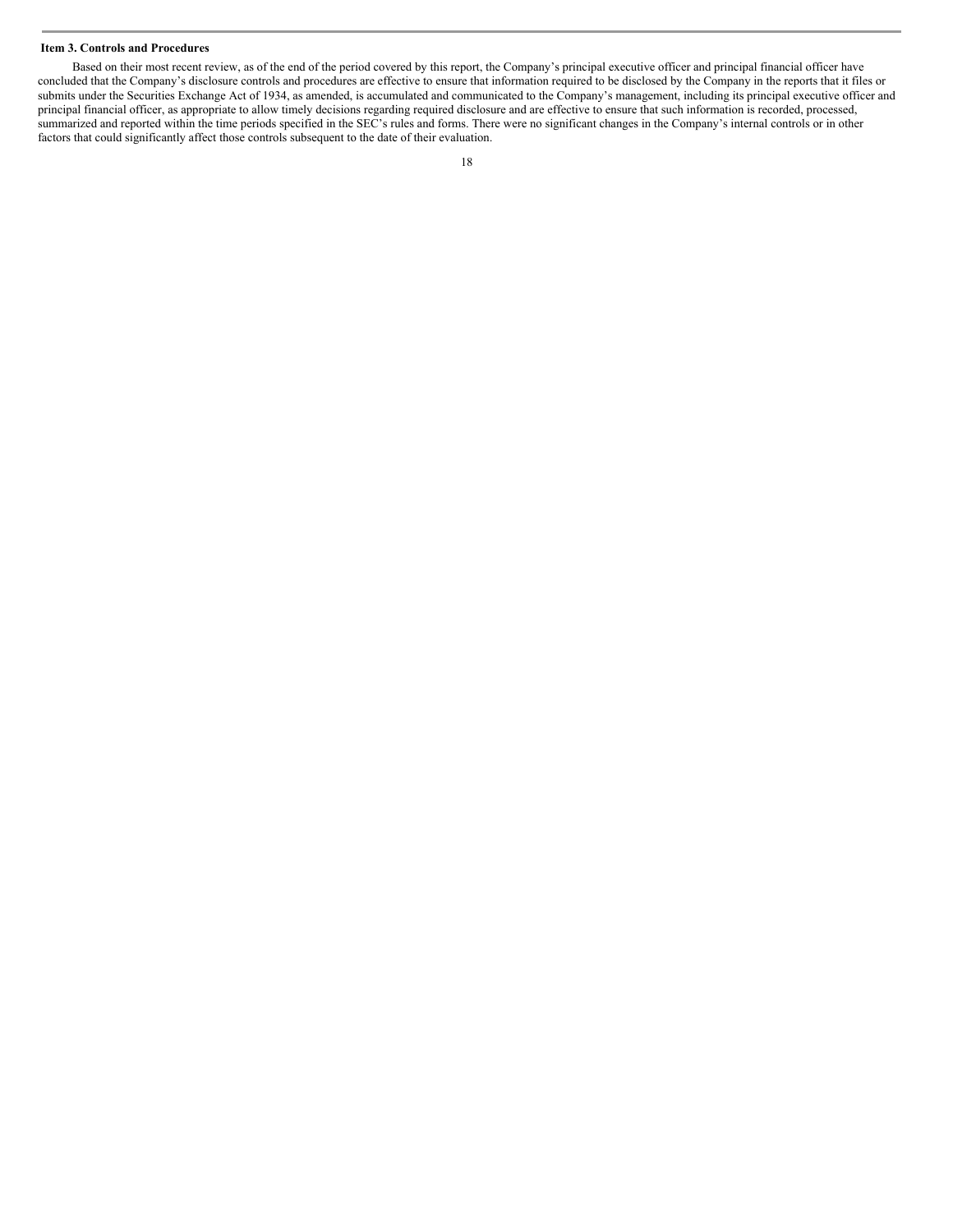#### <span id="page-17-0"></span>**Item 3. Controls and Procedures**

Based on their most recent review, as of the end of the period covered by this report, the Company's principal executive officer and principal financial officer have concluded that the Company's disclosure controls and procedures are effective to ensure that information required to be disclosed by the Company in the reports that it files or submits under the Securities Exchange Act of 1934, as amended, is accumulated and communicated to the Company's management, including its principal executive officer and principal financial officer, as appropriate to allow timely decisions regarding required disclosure and are effective to ensure that such information is recorded, processed, summarized and reported within the time periods specified in the SEC's rules and forms. There were no significant changes in the Company's internal controls or in other factors that could significantly affect those controls subsequent to the date of their evaluation.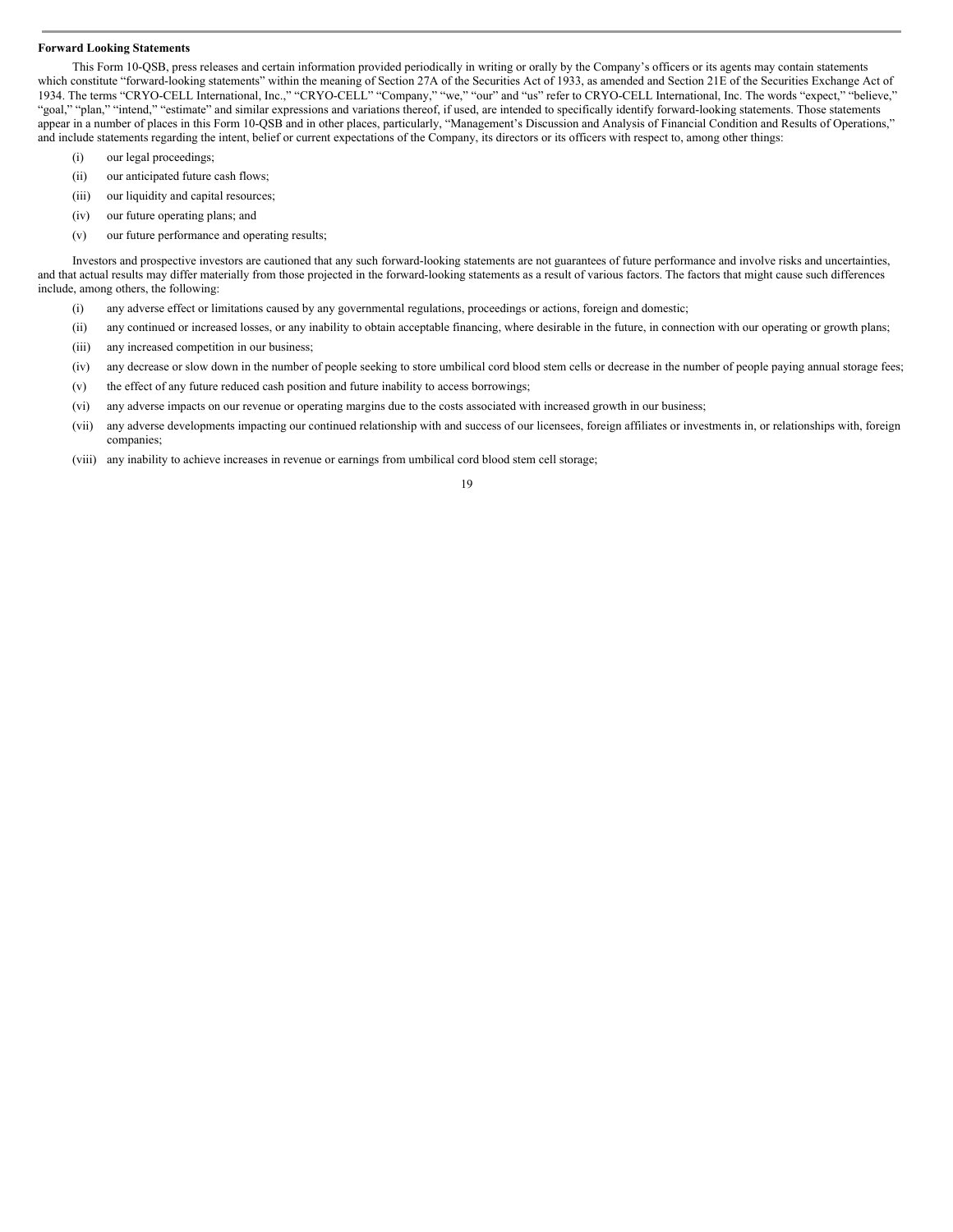#### **Forward Looking Statements**

This Form 10-QSB, press releases and certain information provided periodically in writing or orally by the Company's officers or its agents may contain statements which constitute "forward-looking statements" within the meaning of Section 27A of the Securities Act of 1933, as amended and Section 21E of the Securities Exchange Act of 1934. The terms "CRYO-CELL International, Inc.," "CRYO-CELL" "Company," "we," "our" and "us" refer to CRYO-CELL International, Inc. The words "expect," "believe," "goal," "plan," "intend," "estimate" and similar expressions and variations thereof, if used, are intended to specifically identify forward-looking statements. Those statements appear in a number of places in this Form 10-QSB and in other places, particularly, "Management's Discussion and Analysis of Financial Condition and Results of Operations," and include statements regarding the intent, belief or current expectations of the Company, its directors or its officers with respect to, among other things:

- (i) our legal proceedings;
- (ii) our anticipated future cash flows;
- (iii) our liquidity and capital resources;
- (iv) our future operating plans; and
- (v) our future performance and operating results;

Investors and prospective investors are cautioned that any such forward-looking statements are not guarantees of future performance and involve risks and uncertainties, and that actual results may differ materially from those projected in the forward-looking statements as a result of various factors. The factors that might cause such differences include, among others, the following:

- (i) any adverse effect or limitations caused by any governmental regulations, proceedings or actions, foreign and domestic;
- (ii) any continued or increased losses, or any inability to obtain acceptable financing, where desirable in the future, in connection with our operating or growth plans;
- (iii) any increased competition in our business;
- (iv) any decrease or slow down in the number of people seeking to store umbilical cord blood stem cells or decrease in the number of people paying annual storage fees;
- (v) the effect of any future reduced cash position and future inability to access borrowings;
- (vi) any adverse impacts on our revenue or operating margins due to the costs associated with increased growth in our business;
- (vii) any adverse developments impacting our continued relationship with and success of our licensees, foreign affiliates or investments in, or relationships with, foreign companies;
- (viii) any inability to achieve increases in revenue or earnings from umbilical cord blood stem cell storage;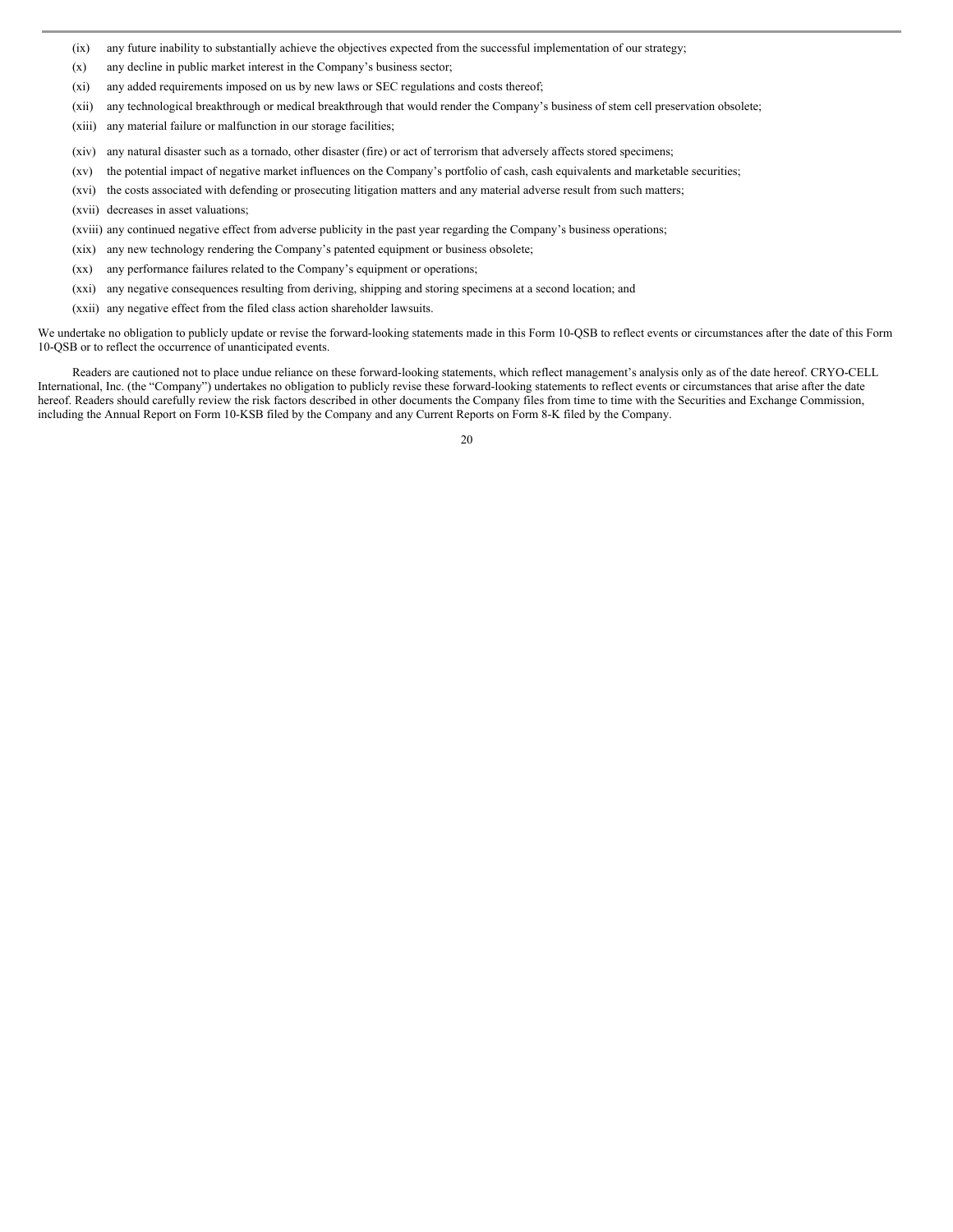- (ix) any future inability to substantially achieve the objectives expected from the successful implementation of our strategy;
- (x) any decline in public market interest in the Company's business sector;
- (xi) any added requirements imposed on us by new laws or SEC regulations and costs thereof;
- (xii) any technological breakthrough or medical breakthrough that would render the Company's business of stem cell preservation obsolete;
- (xiii) any material failure or malfunction in our storage facilities;
- (xiv) any natural disaster such as a tornado, other disaster (fire) or act of terrorism that adversely affects stored specimens;
- (xv) the potential impact of negative market influences on the Company's portfolio of cash, cash equivalents and marketable securities;
- (xvi) the costs associated with defending or prosecuting litigation matters and any material adverse result from such matters;
- (xvii) decreases in asset valuations;
- (xviii) any continued negative effect from adverse publicity in the past year regarding the Company's business operations;
- (xix) any new technology rendering the Company's patented equipment or business obsolete;
- (xx) any performance failures related to the Company's equipment or operations;
- (xxi) any negative consequences resulting from deriving, shipping and storing specimens at a second location; and
- (xxii) any negative effect from the filed class action shareholder lawsuits.

We undertake no obligation to publicly update or revise the forward-looking statements made in this Form 10-QSB to reflect events or circumstances after the date of this Form 10-QSB or to reflect the occurrence of unanticipated events.

Readers are cautioned not to place undue reliance on these forward-looking statements, which reflect management's analysis only as of the date hereof. CRYO-CELL International, Inc. (the "Company") undertakes no obligation to publicly revise these forward-looking statements to reflect events or circumstances that arise after the date hereof. Readers should carefully review the risk factors described in other documents the Company files from time to time with the Securities and Exchange Commission, including the Annual Report on Form 10-KSB filed by the Company and any Current Reports on Form 8-K filed by the Company.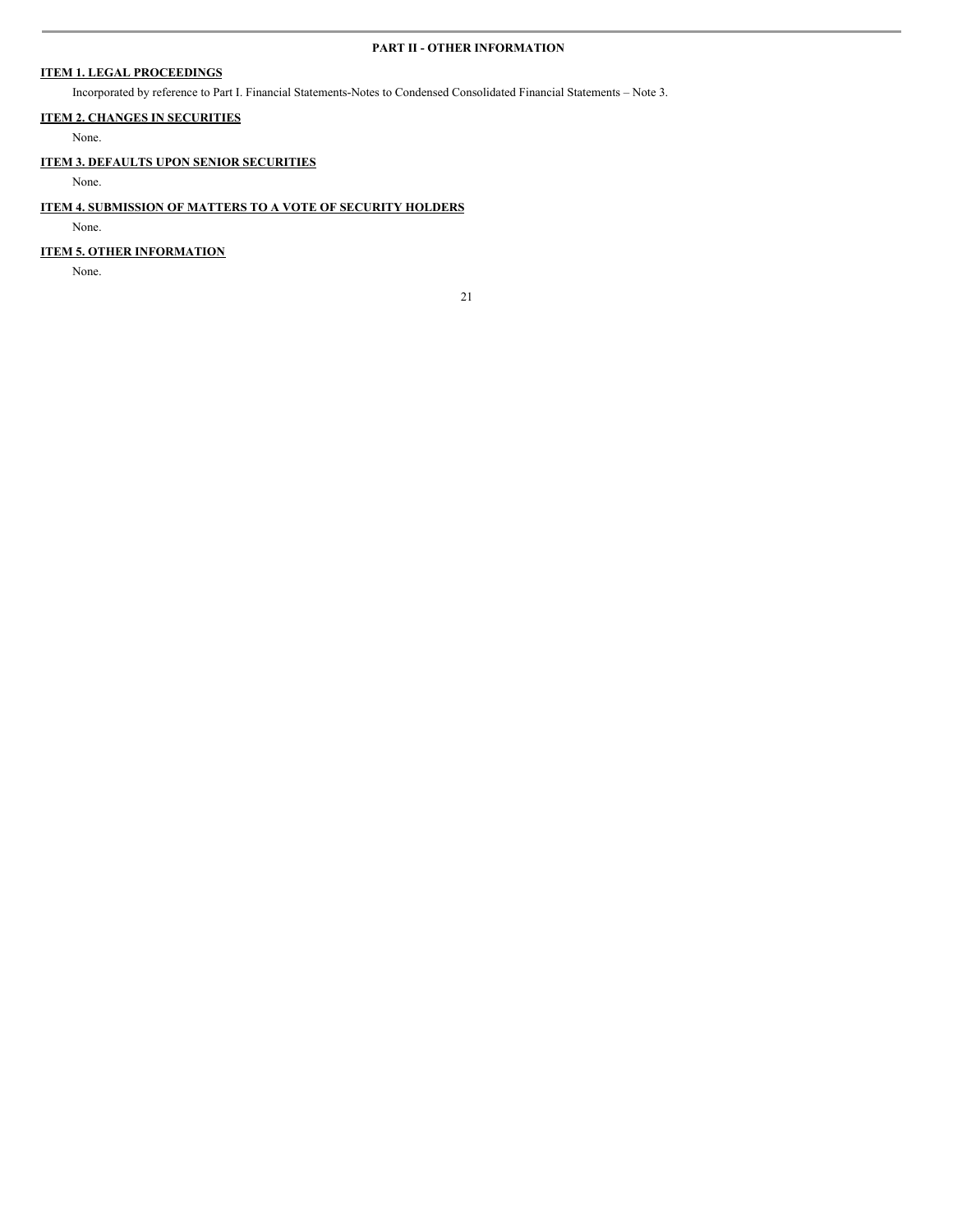## <span id="page-20-0"></span>**PART II - OTHER INFORMATION**

## <span id="page-20-1"></span>**ITEM 1. LEGAL PROCEEDINGS**

Incorporated by reference to Part I. Financial Statements-Notes to Condensed Consolidated Financial Statements – Note 3.

## <span id="page-20-2"></span>**ITEM 2. CHANGES IN SECURITIES**

None.

## <span id="page-20-3"></span>**ITEM 3. DEFAULTS UPON SENIOR SECURITIES**

None.

## <span id="page-20-4"></span>**ITEM 4. SUBMISSION OF MATTERS TO A VOTE OF SECURITY HOLDERS**

None.

## <span id="page-20-5"></span>**ITEM 5. OTHER INFORMATION**

None.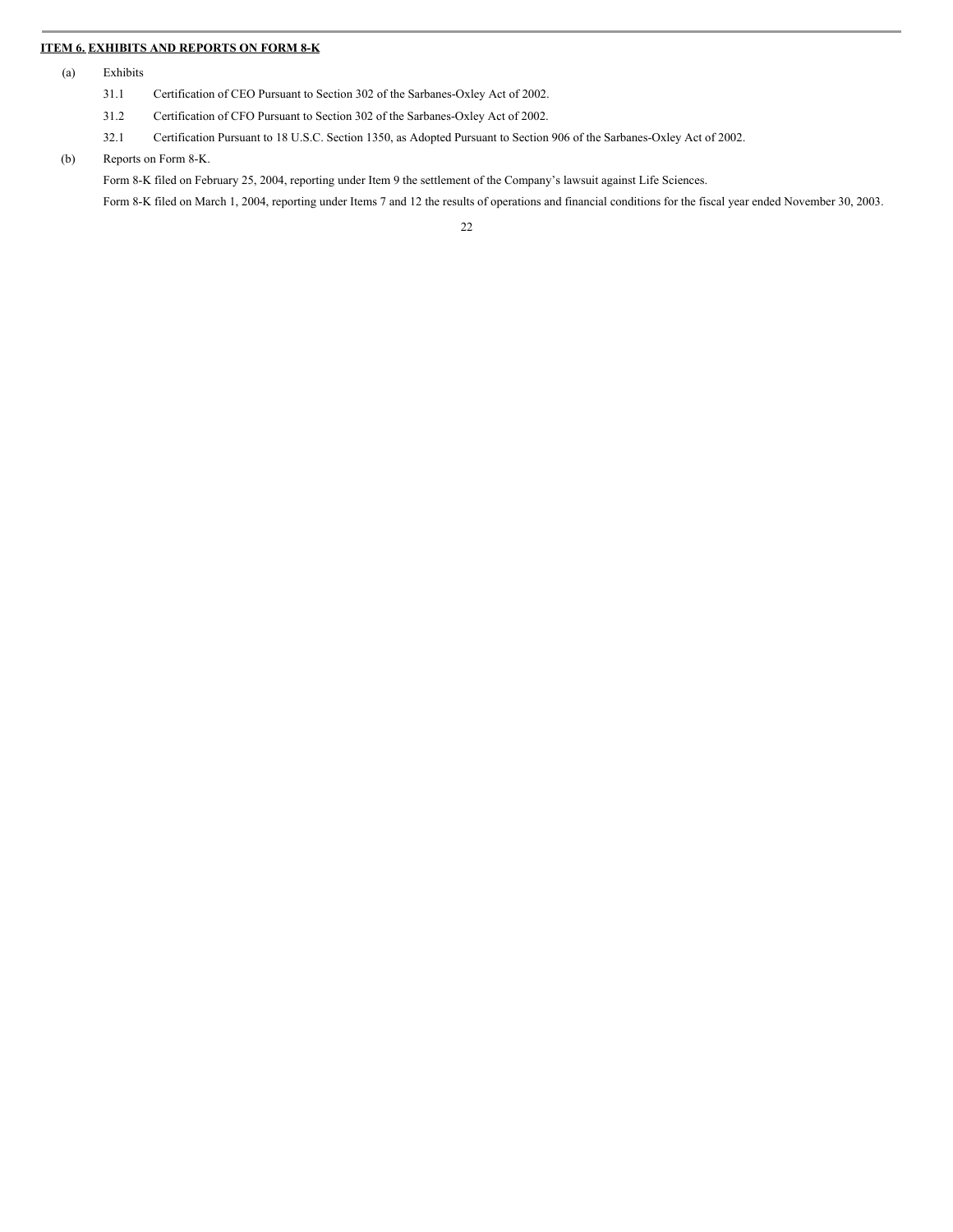## <span id="page-21-0"></span>**ITEM 6. EXHIBITS AND REPORTS ON FORM 8-K**

(a) Exhibits

- 31.1 Certification of CEO Pursuant to Section 302 of the Sarbanes-Oxley Act of 2002.
- 31.2 Certification of CFO Pursuant to Section 302 of the Sarbanes-Oxley Act of 2002.
- 32.1 Certification Pursuant to 18 U.S.C. Section 1350, as Adopted Pursuant to Section 906 of the Sarbanes-Oxley Act of 2002.

#### (b) Reports on Form 8-K.

Form 8-K filed on February 25, 2004, reporting under Item 9 the settlement of the Company's lawsuit against Life Sciences.

Form 8-K filed on March 1, 2004, reporting under Items 7 and 12 the results of operations and financial conditions for the fiscal year ended November 30, 2003.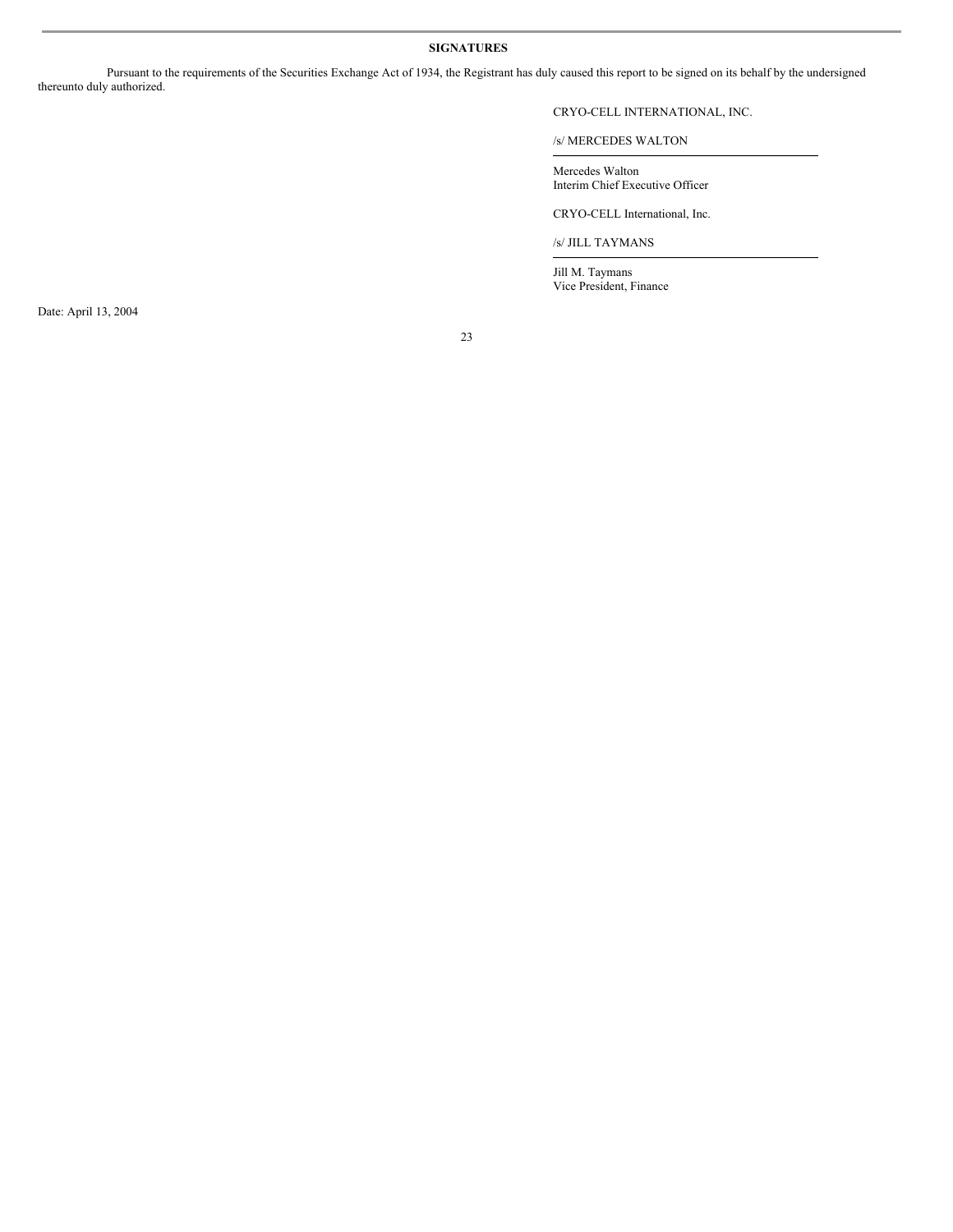## <span id="page-22-0"></span>**SIGNATURES**

Pursuant to the requirements of the Securities Exchange Act of 1934, the Registrant has duly caused this report to be signed on its behalf by the undersigned thereunto duly authorized.

## CRYO-CELL INTERNATIONAL, INC.

/s/ MERCEDES WALTON

Mercedes Walton Interim Chief Executive Officer

CRYO-CELL International, Inc.

 $/\mathrm{s}/$  JILL TAYMANS

Jill M. Taymans Vice President, Finance

Date: April 13, 2004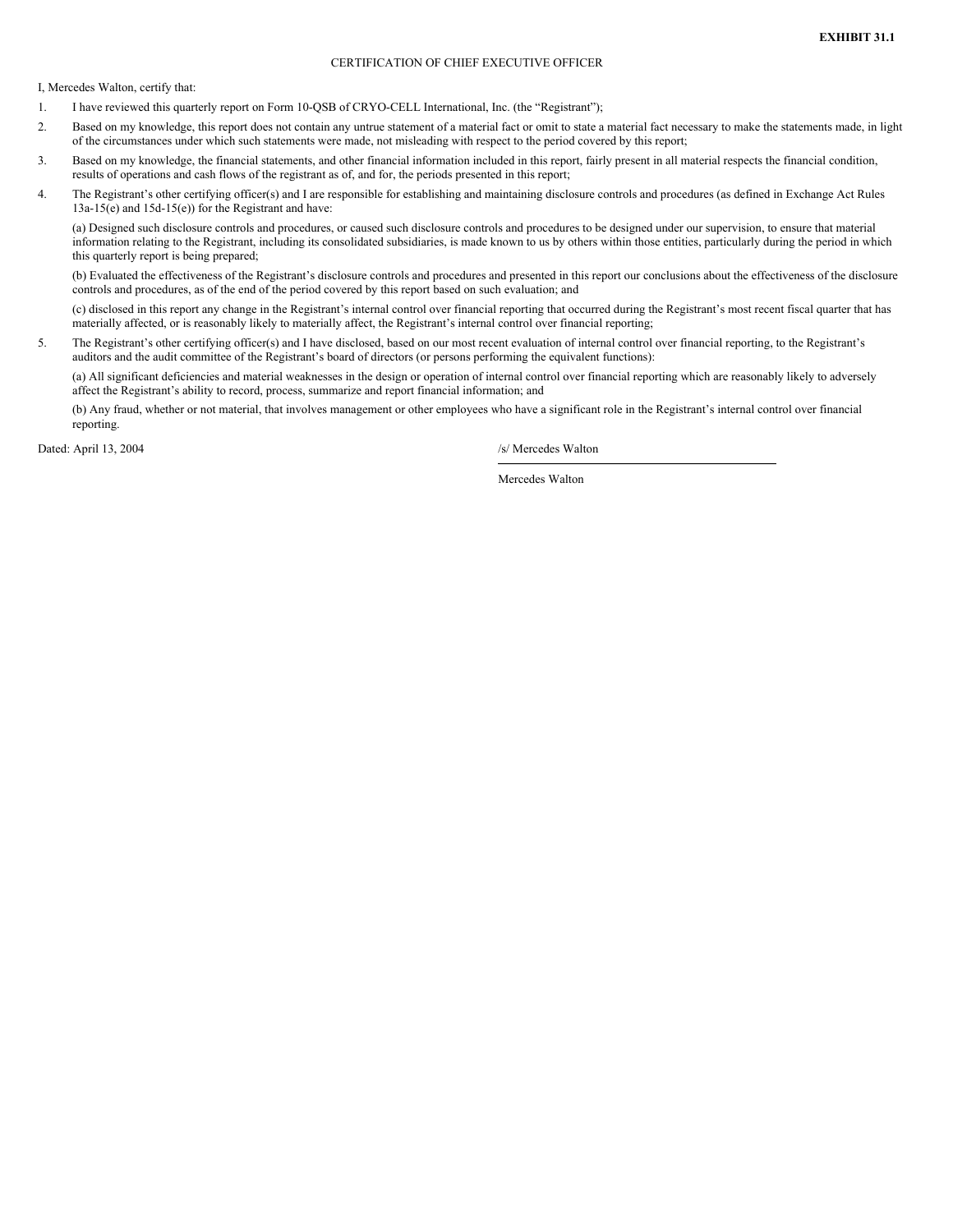## CERTIFICATION OF CHIEF EXECUTIVE OFFICER

I, Mercedes Walton, certify that:

- 1. I have reviewed this quarterly report on Form 10-QSB of CRYO-CELL International, Inc. (the "Registrant");
- 2. Based on my knowledge, this report does not contain any untrue statement of a material fact or omit to state a material fact necessary to make the statements made, in light of the circumstances under which such statements were made, not misleading with respect to the period covered by this report;
- 3. Based on my knowledge, the financial statements, and other financial information included in this report, fairly present in all material respects the financial condition, results of operations and cash flows of the registrant as of, and for, the periods presented in this report;
- 4. The Registrant's other certifying officer(s) and I are responsible for establishing and maintaining disclosure controls and procedures (as defined in Exchange Act Rules 13a-15(e) and 15d-15(e)) for the Registrant and have:

(a) Designed such disclosure controls and procedures, or caused such disclosure controls and procedures to be designed under our supervision, to ensure that material information relating to the Registrant, including its consolidated subsidiaries, is made known to us by others within those entities, particularly during the period in which this quarterly report is being prepared;

(b) Evaluated the effectiveness of the Registrant's disclosure controls and procedures and presented in this report our conclusions about the effectiveness of the disclosure controls and procedures, as of the end of the period covered by this report based on such evaluation; and

(c) disclosed in this report any change in the Registrant's internal control over financial reporting that occurred during the Registrant's most recent fiscal quarter that has materially affected, or is reasonably likely to materially affect, the Registrant's internal control over financial reporting;

5. The Registrant's other certifying officer(s) and I have disclosed, based on our most recent evaluation of internal control over financial reporting, to the Registrant's auditors and the audit committee of the Registrant's board of directors (or persons performing the equivalent functions):

(a) All significant deficiencies and material weaknesses in the design or operation of internal control over financial reporting which are reasonably likely to adversely affect the Registrant's ability to record, process, summarize and report financial information; and

(b) Any fraud, whether or not material, that involves management or other employees who have a significant role in the Registrant's internal control over financial reporting.

Dated: April 13, 2004 /s/ Mercedes Walton

Mercedes Walton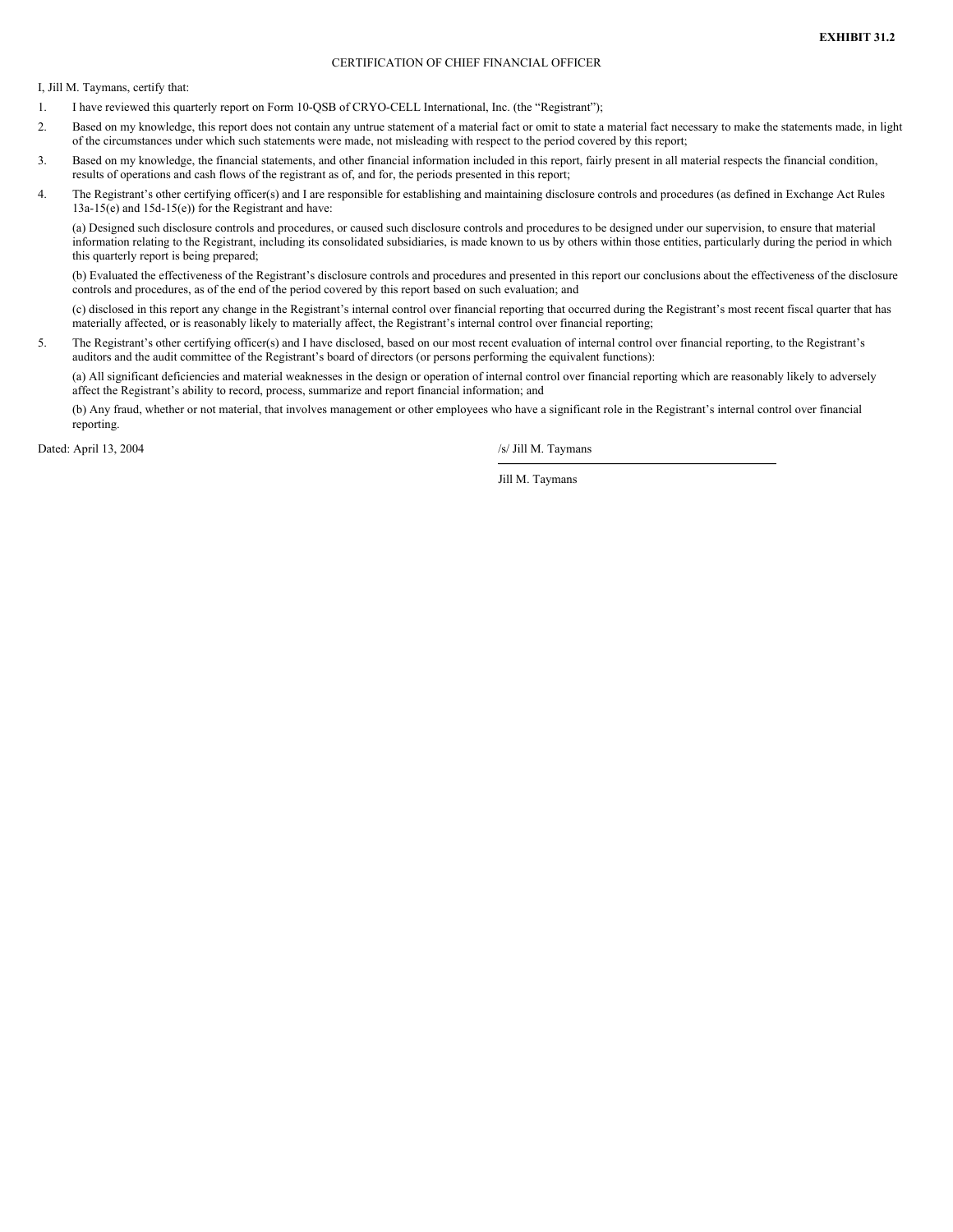#### CERTIFICATION OF CHIEF FINANCIAL OFFICER

I, Jill M. Taymans, certify that:

- 1. I have reviewed this quarterly report on Form 10-QSB of CRYO-CELL International, Inc. (the "Registrant");
- 2. Based on my knowledge, this report does not contain any untrue statement of a material fact or omit to state a material fact necessary to make the statements made, in light of the circumstances under which such statements were made, not misleading with respect to the period covered by this report;
- 3. Based on my knowledge, the financial statements, and other financial information included in this report, fairly present in all material respects the financial condition, results of operations and cash flows of the registrant as of, and for, the periods presented in this report;
- 4. The Registrant's other certifying officer(s) and I are responsible for establishing and maintaining disclosure controls and procedures (as defined in Exchange Act Rules 13a-15(e) and 15d-15(e)) for the Registrant and have:

(a) Designed such disclosure controls and procedures, or caused such disclosure controls and procedures to be designed under our supervision, to ensure that material information relating to the Registrant, including its consolidated subsidiaries, is made known to us by others within those entities, particularly during the period in which this quarterly report is being prepared;

(b) Evaluated the effectiveness of the Registrant's disclosure controls and procedures and presented in this report our conclusions about the effectiveness of the disclosure controls and procedures, as of the end of the period covered by this report based on such evaluation; and

(c) disclosed in this report any change in the Registrant's internal control over financial reporting that occurred during the Registrant's most recent fiscal quarter that has materially affected, or is reasonably likely to materially affect, the Registrant's internal control over financial reporting;

5. The Registrant's other certifying officer(s) and I have disclosed, based on our most recent evaluation of internal control over financial reporting, to the Registrant's auditors and the audit committee of the Registrant's board of directors (or persons performing the equivalent functions):

(a) All significant deficiencies and material weaknesses in the design or operation of internal control over financial reporting which are reasonably likely to adversely affect the Registrant's ability to record, process, summarize and report financial information; and

(b) Any fraud, whether or not material, that involves management or other employees who have a significant role in the Registrant's internal control over financial reporting.

Dated: April 13, 2004 /s/ Jill M. Taymans

Jill M. Taymans